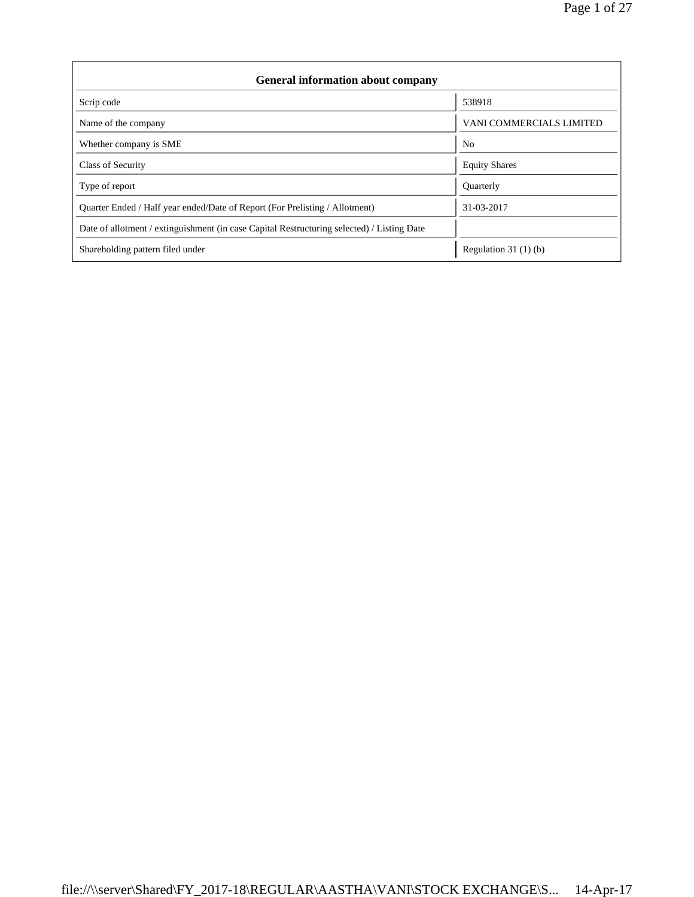| <b>General information about company</b>                                                   |                          |  |  |  |  |  |  |
|--------------------------------------------------------------------------------------------|--------------------------|--|--|--|--|--|--|
| Scrip code                                                                                 | 538918                   |  |  |  |  |  |  |
| Name of the company                                                                        | VANI COMMERCIALS LIMITED |  |  |  |  |  |  |
| Whether company is SME                                                                     | N <sub>0</sub>           |  |  |  |  |  |  |
| <b>Class of Security</b>                                                                   | <b>Equity Shares</b>     |  |  |  |  |  |  |
| Type of report                                                                             | Quarterly                |  |  |  |  |  |  |
| Quarter Ended / Half year ended/Date of Report (For Prelisting / Allotment)                | 31-03-2017               |  |  |  |  |  |  |
| Date of allotment / extinguishment (in case Capital Restructuring selected) / Listing Date |                          |  |  |  |  |  |  |
| Shareholding pattern filed under                                                           | Regulation $31(1)(b)$    |  |  |  |  |  |  |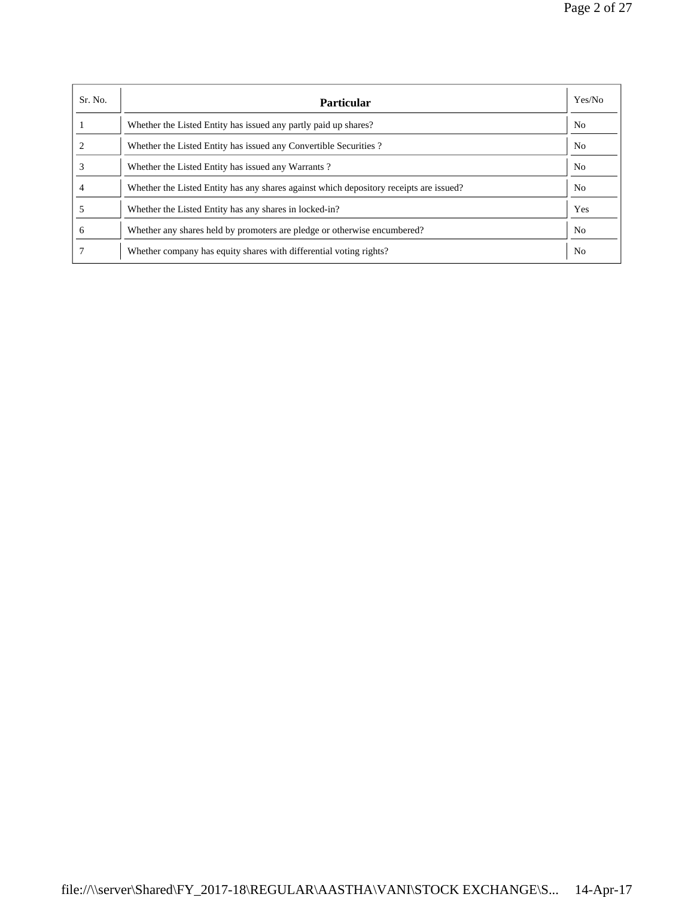| Sr. No.      | <b>Particular</b>                                                                      | Yes/No         |
|--------------|----------------------------------------------------------------------------------------|----------------|
|              | Whether the Listed Entity has issued any partly paid up shares?                        | N <sub>o</sub> |
|              | Whether the Listed Entity has issued any Convertible Securities?                       | N <sub>0</sub> |
|              | Whether the Listed Entity has issued any Warrants?                                     | N <sub>o</sub> |
|              | Whether the Listed Entity has any shares against which depository receipts are issued? | No             |
|              | Whether the Listed Entity has any shares in locked-in?                                 | Yes            |
| <sub>0</sub> | Whether any shares held by promoters are pledge or otherwise encumbered?               | No             |
|              | Whether company has equity shares with differential voting rights?                     | N <sub>0</sub> |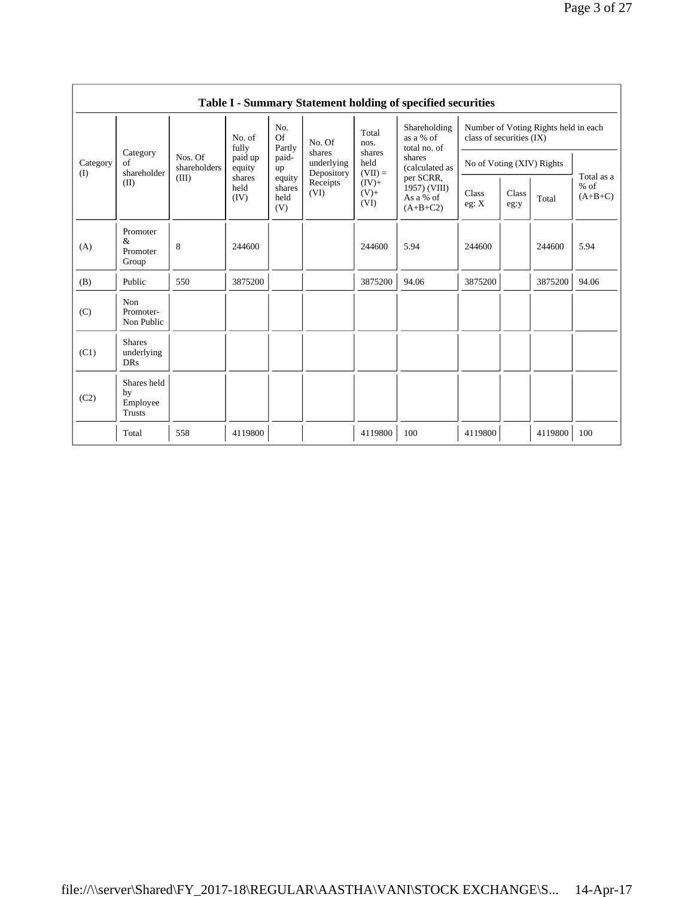|                 |                                           |                                                                 |                        |                                 |                                    |                                              | Table I - Summary Statement holding of specified securities |                                                                  |               |         |                                   |
|-----------------|-------------------------------------------|-----------------------------------------------------------------|------------------------|---------------------------------|------------------------------------|----------------------------------------------|-------------------------------------------------------------|------------------------------------------------------------------|---------------|---------|-----------------------------------|
|                 |                                           | No. of<br>fully<br>Nos. Of<br>paid up<br>shareholders<br>equity |                        | No.<br>Of<br>Partly             | No. Of                             | Total<br>nos.<br>shares<br>held<br>$(VII) =$ | Shareholding<br>as a % of<br>total no. of                   | Number of Voting Rights held in each<br>class of securities (IX) |               |         |                                   |
| Category<br>(I) | Category<br>of<br>shareholder             |                                                                 |                        | paid-<br>up                     | shares<br>underlying<br>Depository |                                              | shares<br>(calculated as                                    | No of Voting (XIV) Rights                                        |               |         |                                   |
|                 | (II)                                      | (III)                                                           | shares<br>held<br>(IV) | equity<br>shares<br>held<br>(V) | Receipts<br>(VI)                   | $(IV)$ +<br>$(V)$ +<br>(VI)                  | per SCRR,<br>$1957)$ (VIII)<br>As a % of<br>$(A+B+C2)$      | Class<br>eg: X                                                   | Class<br>eg:y | Total   | Total as a<br>$%$ of<br>$(A+B+C)$ |
| (A)             | Promoter<br>&<br>Promoter<br>Group        | 8                                                               | 244600                 |                                 |                                    | 244600                                       | 5.94                                                        | 244600                                                           |               | 244600  | 5.94                              |
| (B)             | Public                                    | 550                                                             | 3875200                |                                 |                                    | 3875200                                      | 94.06                                                       | 3875200                                                          |               | 3875200 | 94.06                             |
| (C)             | Non<br>Promoter-<br>Non Public            |                                                                 |                        |                                 |                                    |                                              |                                                             |                                                                  |               |         |                                   |
| (C1)            | <b>Shares</b><br>underlying<br><b>DRs</b> |                                                                 |                        |                                 |                                    |                                              |                                                             |                                                                  |               |         |                                   |
| (C2)            | Shares held<br>by<br>Employee<br>Trusts   |                                                                 |                        |                                 |                                    |                                              |                                                             |                                                                  |               |         |                                   |
|                 | Total                                     | 558                                                             | 4119800                |                                 |                                    | 4119800                                      | 100                                                         | 4119800                                                          |               | 4119800 | 100                               |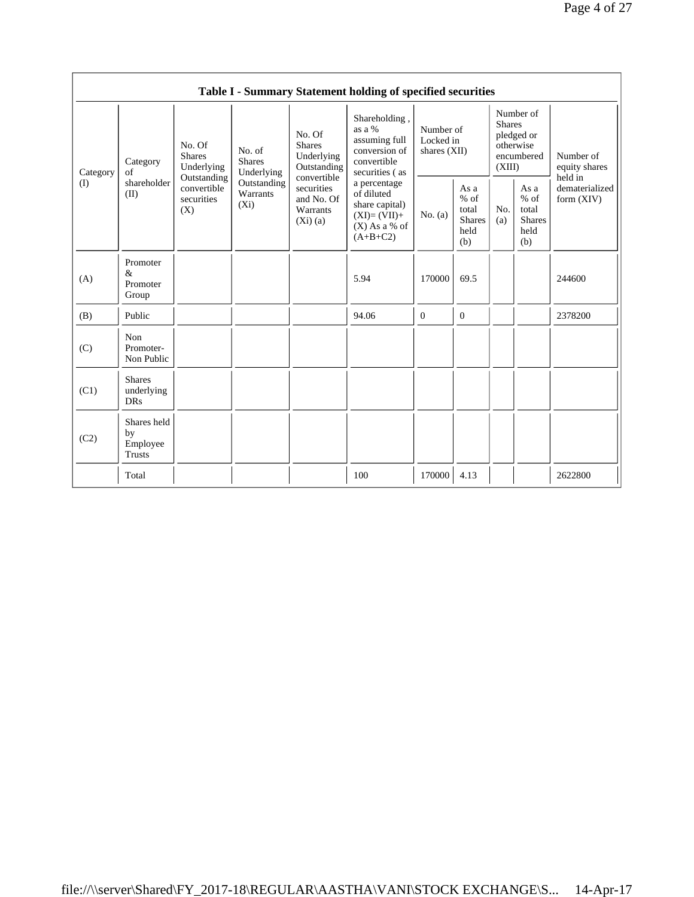|                                                                      |                                                |                                                                  |            |                                                                                                | Table I - Summary Statement holding of specified securities                                |                                                         |                |                                                                               |  |                                                                         |
|----------------------------------------------------------------------|------------------------------------------------|------------------------------------------------------------------|------------|------------------------------------------------------------------------------------------------|--------------------------------------------------------------------------------------------|---------------------------------------------------------|----------------|-------------------------------------------------------------------------------|--|-------------------------------------------------------------------------|
| Category<br>of<br>Category<br>shareholder<br>(I)<br>(II)<br>Promoter |                                                | No. Of<br>No. of<br><b>Shares</b><br><b>Shares</b><br>Underlying | Underlying | No. Of<br><b>Shares</b><br>Underlying<br>Outstanding                                           | Shareholding,<br>as a %<br>assuming full<br>conversion of<br>convertible<br>securities (as | Number of<br>Locked in<br>shares $(XII)$                |                | Number of<br><b>Shares</b><br>pledged or<br>otherwise<br>encumbered<br>(XIII) |  | Number of<br>equity shares<br>held in<br>dematerialized<br>form $(XIV)$ |
|                                                                      | convertible<br>securities<br>(X)               | Outstanding<br>Outstanding<br>Warrants<br>$(X_i)$                |            | a percentage<br>of diluted<br>share capital)<br>$(XI)=(VII)+$<br>$(X)$ As a % of<br>$(A+B+C2)$ | No. $(a)$                                                                                  | As a<br>$%$ of<br>total<br><b>Shares</b><br>held<br>(b) | No.<br>(a)     | As a<br>$%$ of<br>total<br><b>Shares</b><br>held<br>(b)                       |  |                                                                         |
| (A)                                                                  | $\&$<br>Promoter<br>Group                      |                                                                  |            |                                                                                                | 5.94                                                                                       | 170000                                                  | 69.5           |                                                                               |  | 244600                                                                  |
| (B)                                                                  | Public                                         |                                                                  |            |                                                                                                | 94.06                                                                                      | $\overline{0}$                                          | $\overline{0}$ |                                                                               |  | 2378200                                                                 |
| (C)                                                                  | Non<br>Promoter-<br>Non Public                 |                                                                  |            |                                                                                                |                                                                                            |                                                         |                |                                                                               |  |                                                                         |
| (C1)                                                                 | <b>Shares</b><br>underlying<br><b>DRs</b>      |                                                                  |            |                                                                                                |                                                                                            |                                                         |                |                                                                               |  |                                                                         |
| (C2)                                                                 | Shares held<br>by<br>Employee<br><b>Trusts</b> |                                                                  |            |                                                                                                |                                                                                            |                                                         |                |                                                                               |  |                                                                         |
|                                                                      | Total                                          |                                                                  |            |                                                                                                | 100                                                                                        | 170000                                                  | 4.13           |                                                                               |  | 2622800                                                                 |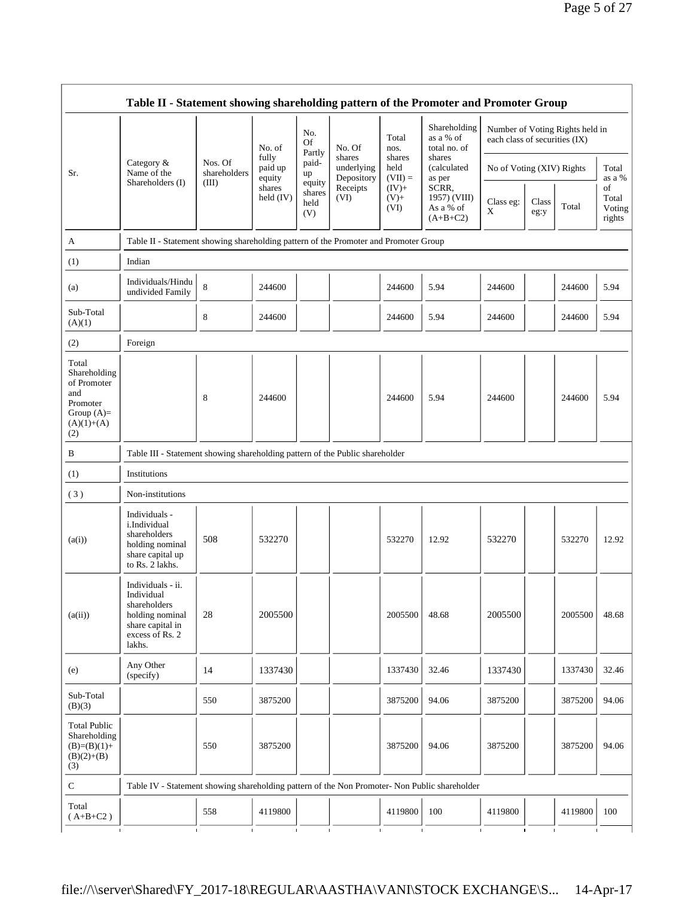$\overline{\phantom{a}}$ 

|                                                                                                | Table II - Statement showing shareholding pattern of the Promoter and Promoter Group                                |                                                                              |                            |                                 |                                    |                             |                                                  |                               |               |                                 |                                 |
|------------------------------------------------------------------------------------------------|---------------------------------------------------------------------------------------------------------------------|------------------------------------------------------------------------------|----------------------------|---------------------------------|------------------------------------|-----------------------------|--------------------------------------------------|-------------------------------|---------------|---------------------------------|---------------------------------|
|                                                                                                |                                                                                                                     |                                                                              | No. of                     | No.<br><b>Of</b>                | No. Of                             | Total<br>nos.               | Shareholding<br>as a % of<br>total no. of        | each class of securities (IX) |               | Number of Voting Rights held in |                                 |
| Sr.                                                                                            | Category &<br>Name of the                                                                                           | Nos. Of<br>shareholders                                                      | fully<br>paid up<br>equity | Partly<br>paid-<br>up           | shares<br>underlying<br>Depository | shares<br>held<br>$(VII) =$ | shares<br>(calculated<br>as per                  | No of Voting (XIV) Rights     |               |                                 | Total<br>as a %                 |
|                                                                                                | Shareholders (I)                                                                                                    | (III)                                                                        | shares<br>held (IV)        | equity<br>shares<br>held<br>(V) | Receipts<br>(VI)                   | $(IV)$ +<br>$(V)$ +<br>(VI) | SCRR,<br>1957) (VIII)<br>As a % of<br>$(A+B+C2)$ | Class eg:<br>X                | Class<br>eg:y | Total                           | of<br>Total<br>Voting<br>rights |
| А                                                                                              | Table II - Statement showing shareholding pattern of the Promoter and Promoter Group                                |                                                                              |                            |                                 |                                    |                             |                                                  |                               |               |                                 |                                 |
| (1)                                                                                            | Indian                                                                                                              |                                                                              |                            |                                 |                                    |                             |                                                  |                               |               |                                 |                                 |
| (a)                                                                                            | Individuals/Hindu<br>undivided Family                                                                               | 8                                                                            | 244600                     |                                 |                                    | 244600                      | 5.94                                             | 244600                        |               | 244600                          | 5.94                            |
| Sub-Total<br>(A)(1)                                                                            |                                                                                                                     | 8                                                                            | 244600                     |                                 |                                    | 244600                      | 5.94                                             | 244600                        |               | 244600                          | 5.94                            |
| (2)                                                                                            | Foreign                                                                                                             |                                                                              |                            |                                 |                                    |                             |                                                  |                               |               |                                 |                                 |
| Total<br>Shareholding<br>of Promoter<br>and<br>Promoter<br>Group $(A)=$<br>$(A)(1)+(A)$<br>(2) |                                                                                                                     | 8                                                                            | 244600                     |                                 |                                    | 244600                      | 5.94                                             | 244600                        |               | 244600                          | 5.94                            |
| B                                                                                              |                                                                                                                     | Table III - Statement showing shareholding pattern of the Public shareholder |                            |                                 |                                    |                             |                                                  |                               |               |                                 |                                 |
| (1)                                                                                            | Institutions                                                                                                        |                                                                              |                            |                                 |                                    |                             |                                                  |                               |               |                                 |                                 |
| (3)                                                                                            | Non-institutions                                                                                                    |                                                                              |                            |                                 |                                    |                             |                                                  |                               |               |                                 |                                 |
| (a(i))                                                                                         | Individuals -<br>i.Individual<br>shareholders<br>holding nominal<br>share capital up<br>to Rs. 2 lakhs.             | 508                                                                          | 532270                     |                                 |                                    | 532270                      | 12.92                                            | 532270                        |               | 532270                          | 12.92                           |
| (a(ii))                                                                                        | Individuals - ii.<br>Individual<br>shareholders<br>holding nominal<br>share capital in<br>excess of Rs. 2<br>lakhs. | 28                                                                           | 2005500                    |                                 |                                    | 2005500                     | 48.68                                            | 2005500                       |               | 2005500                         | 48.68                           |
| (e)                                                                                            | Any Other<br>(specify)                                                                                              | 14                                                                           | 1337430                    |                                 |                                    | 1337430                     | 32.46                                            | 1337430                       |               | 1337430                         | 32.46                           |
| Sub-Total<br>(B)(3)                                                                            |                                                                                                                     | 550                                                                          | 3875200                    |                                 |                                    | 3875200                     | 94.06                                            | 3875200                       |               | 3875200                         | 94.06                           |
| <b>Total Public</b><br>Shareholding<br>$(B)=(B)(1)+$<br>$(B)(2)+(B)$<br>(3)                    |                                                                                                                     | 550                                                                          | 3875200                    |                                 |                                    | 3875200                     | 94.06                                            | 3875200                       |               | 3875200                         | 94.06                           |
| ${\bf C}$                                                                                      | Table IV - Statement showing shareholding pattern of the Non Promoter- Non Public shareholder                       |                                                                              |                            |                                 |                                    |                             |                                                  |                               |               |                                 |                                 |
| Total<br>$(A+B+C2)$                                                                            |                                                                                                                     | 558                                                                          | 4119800                    |                                 |                                    | 4119800                     | 100                                              | 4119800                       |               | 4119800                         | 100                             |
| $\mathbf{I}$                                                                                   | $\mathbf{I}$                                                                                                        | $\mathbf{I}$                                                                 | $\mathbf{I}$               |                                 | $\mathbf{I}$                       |                             | $\mathbf{I}$<br>$\mathbf I$                      | $\mathbf{I}$                  | $\mathbf{I}$  |                                 |                                 |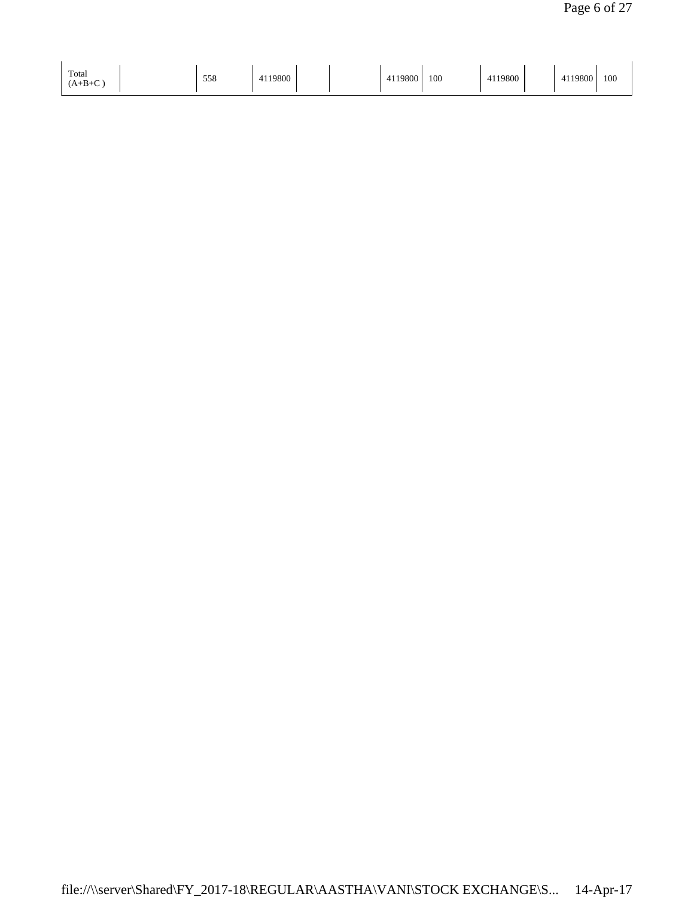| Total<br>$(A+B+C)$ | 558 | $+119800$ | 119800<br>411 | 100 | 19800 | 19800 | 100<br>$\sim$ |
|--------------------|-----|-----------|---------------|-----|-------|-------|---------------|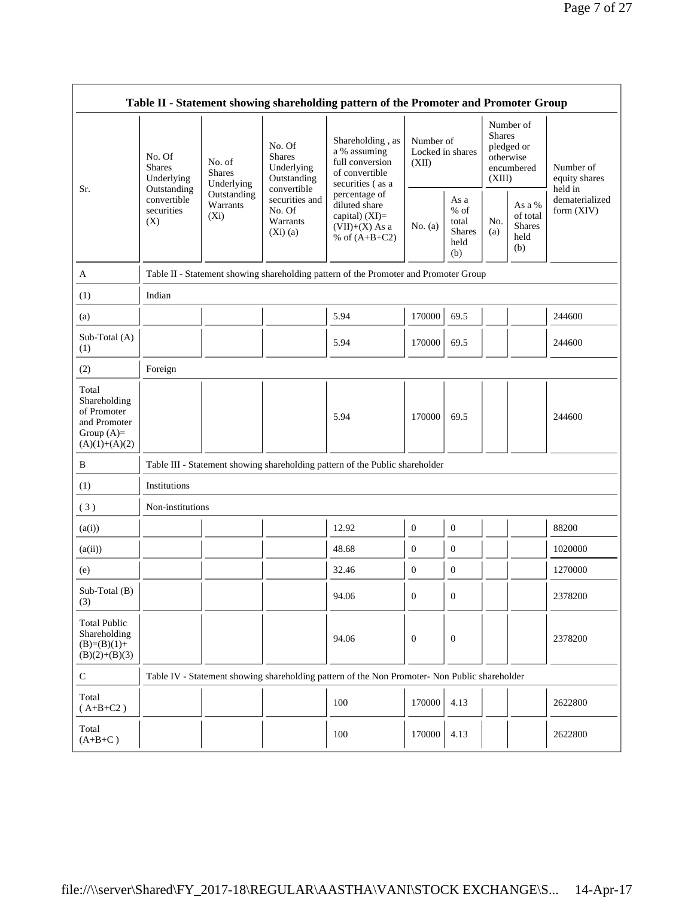|                                                                                         |                                                                                                                                            |             |                                                                | Table II - Statement showing shareholding pattern of the Promoter and Promoter Group                                                                                                   |                  |                                                         |            |                                                                               |                                       |
|-----------------------------------------------------------------------------------------|--------------------------------------------------------------------------------------------------------------------------------------------|-------------|----------------------------------------------------------------|----------------------------------------------------------------------------------------------------------------------------------------------------------------------------------------|------------------|---------------------------------------------------------|------------|-------------------------------------------------------------------------------|---------------------------------------|
|                                                                                         | No. Of<br>No. of<br><b>Shares</b><br><b>Shares</b><br>Underlying<br>Outstanding<br>convertible<br>Warrants<br>securities<br>$(X_i)$<br>(X) | Underlying  | No. Of<br><b>Shares</b><br>Underlying<br>Outstanding           | Shareholding, as<br>a % assuming<br>full conversion<br>of convertible<br>securities (as a<br>percentage of<br>diluted share<br>capital) $(XI)=$<br>$(VII)+(X)$ As a<br>% of $(A+B+C2)$ | (XII)            | Number of<br>Locked in shares                           |            | Number of<br><b>Shares</b><br>pledged or<br>otherwise<br>encumbered<br>(XIII) | Number of<br>equity shares<br>held in |
| Sr.                                                                                     |                                                                                                                                            | Outstanding | convertible<br>securities and<br>No. Of<br>Warrants<br>(Xi)(a) |                                                                                                                                                                                        | No. $(a)$        | As a<br>$%$ of<br>total<br><b>Shares</b><br>held<br>(b) | No.<br>(a) | As a %<br>of total<br><b>Shares</b><br>held<br>(b)                            | dematerialized<br>form (XIV)          |
| A                                                                                       |                                                                                                                                            |             |                                                                | Table II - Statement showing shareholding pattern of the Promoter and Promoter Group                                                                                                   |                  |                                                         |            |                                                                               |                                       |
| (1)                                                                                     | Indian                                                                                                                                     |             |                                                                |                                                                                                                                                                                        |                  |                                                         |            |                                                                               |                                       |
| (a)                                                                                     |                                                                                                                                            |             |                                                                | 5.94                                                                                                                                                                                   | 170000           | 69.5                                                    |            |                                                                               | 244600                                |
| Sub-Total (A)<br>(1)                                                                    |                                                                                                                                            |             |                                                                | 5.94                                                                                                                                                                                   | 170000           | 69.5                                                    |            |                                                                               | 244600                                |
| (2)                                                                                     | Foreign                                                                                                                                    |             |                                                                |                                                                                                                                                                                        |                  |                                                         |            |                                                                               |                                       |
| Total<br>Shareholding<br>of Promoter<br>and Promoter<br>Group $(A)=$<br>$(A)(1)+(A)(2)$ |                                                                                                                                            |             |                                                                | 5.94                                                                                                                                                                                   | 170000           | 69.5                                                    |            |                                                                               | 244600                                |
| $\, {\bf B}$                                                                            |                                                                                                                                            |             |                                                                | Table III - Statement showing shareholding pattern of the Public shareholder                                                                                                           |                  |                                                         |            |                                                                               |                                       |
| (1)                                                                                     | Institutions                                                                                                                               |             |                                                                |                                                                                                                                                                                        |                  |                                                         |            |                                                                               |                                       |
| (3)                                                                                     | Non-institutions                                                                                                                           |             |                                                                |                                                                                                                                                                                        |                  |                                                         |            |                                                                               |                                       |
| (a(i))                                                                                  |                                                                                                                                            |             |                                                                | 12.92                                                                                                                                                                                  | $\boldsymbol{0}$ | $\boldsymbol{0}$                                        |            |                                                                               | 88200                                 |
| (a(ii))                                                                                 |                                                                                                                                            |             |                                                                | 48.68                                                                                                                                                                                  | $\boldsymbol{0}$ | $\boldsymbol{0}$                                        |            |                                                                               | 1020000                               |
| (e)                                                                                     |                                                                                                                                            |             |                                                                | 32.46                                                                                                                                                                                  | $\boldsymbol{0}$ | $\boldsymbol{0}$                                        |            |                                                                               | 1270000                               |
| Sub-Total (B)<br>(3)                                                                    |                                                                                                                                            |             |                                                                | 94.06                                                                                                                                                                                  | $\boldsymbol{0}$ | $\boldsymbol{0}$                                        |            |                                                                               | 2378200                               |
| <b>Total Public</b><br>Shareholding<br>$(B)=(B)(1)+$<br>$(B)(2)+(B)(3)$                 |                                                                                                                                            |             |                                                                | 94.06                                                                                                                                                                                  | $\theta$         | $\boldsymbol{0}$                                        |            |                                                                               | 2378200                               |
| ${\bf C}$                                                                               |                                                                                                                                            |             |                                                                | Table IV - Statement showing shareholding pattern of the Non Promoter- Non Public shareholder                                                                                          |                  |                                                         |            |                                                                               |                                       |
| Total<br>$(A+B+C2)$                                                                     |                                                                                                                                            |             |                                                                | 100                                                                                                                                                                                    | 170000           | 4.13                                                    |            |                                                                               | 2622800                               |
| Total<br>$(A+B+C)$                                                                      |                                                                                                                                            |             |                                                                | 100                                                                                                                                                                                    | 170000           | 4.13                                                    |            |                                                                               | 2622800                               |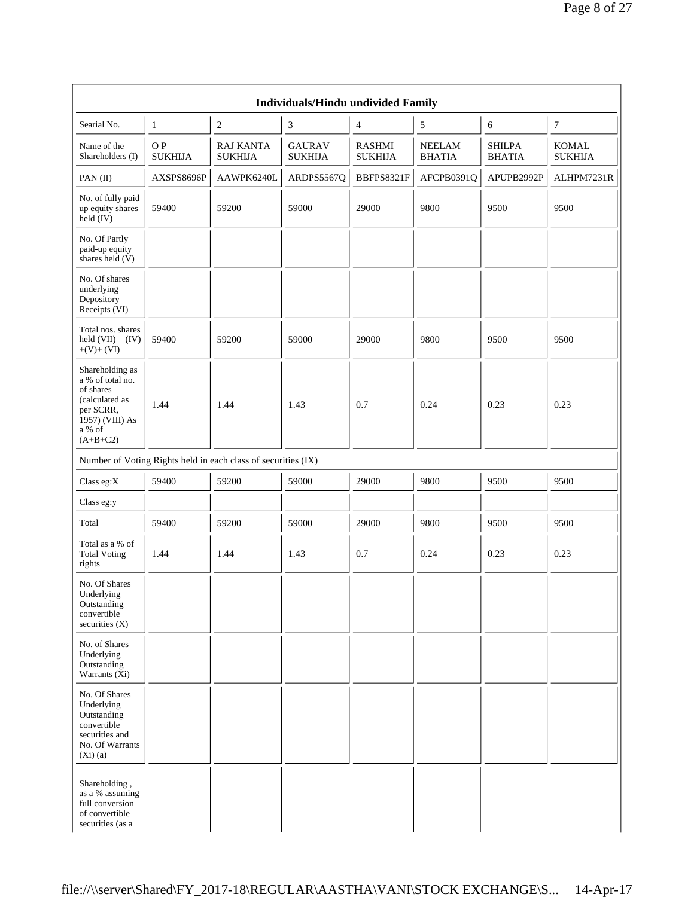|                                                                                                                            |                      |                                                               | Individuals/Hindu undivided Family |                                 |                                |                                |                                |
|----------------------------------------------------------------------------------------------------------------------------|----------------------|---------------------------------------------------------------|------------------------------------|---------------------------------|--------------------------------|--------------------------------|--------------------------------|
| Searial No.                                                                                                                | $\mathbf{1}$         | $\sqrt{2}$                                                    | 3                                  | $\overline{4}$                  | 5                              | 6                              | $\boldsymbol{7}$               |
| Name of the<br>Shareholders (I)                                                                                            | OP<br><b>SUKHIJA</b> | <b>RAJ KANTA</b><br><b>SUKHIJA</b>                            | <b>GAURAV</b><br><b>SUKHIJA</b>    | <b>RASHMI</b><br><b>SUKHIJA</b> | <b>NEELAM</b><br><b>BHATIA</b> | <b>SHILPA</b><br><b>BHATIA</b> | <b>KOMAL</b><br><b>SUKHIJA</b> |
| PAN (II)                                                                                                                   | AXSPS8696P           | AAWPK6240L                                                    | ARDPS5567Q                         | BBFPS8321F                      | AFCPB0391Q                     | APUPB2992P                     | ALHPM7231R                     |
| No. of fully paid<br>up equity shares<br>held (IV)                                                                         | 59400                | 59200                                                         | 59000                              | 29000                           | 9800                           | 9500                           | 9500                           |
| No. Of Partly<br>paid-up equity<br>shares held $(V)$                                                                       |                      |                                                               |                                    |                                 |                                |                                |                                |
| No. Of shares<br>underlying<br>Depository<br>Receipts (VI)                                                                 |                      |                                                               |                                    |                                 |                                |                                |                                |
| Total nos. shares<br>held $(VII) = (IV)$<br>$+(V)+(VI)$                                                                    | 59400                | 59200                                                         | 59000                              | 29000                           | 9800                           | 9500                           | 9500                           |
| Shareholding as<br>a % of total no.<br>of shares<br>(calculated as<br>per SCRR,<br>1957) (VIII) As<br>a % of<br>$(A+B+C2)$ | 1.44                 | 1.44                                                          | 1.43                               | 0.7                             | 0.24                           | 0.23                           | 0.23                           |
|                                                                                                                            |                      | Number of Voting Rights held in each class of securities (IX) |                                    |                                 |                                |                                |                                |
| Class eg:X                                                                                                                 | 59400                | 59200                                                         | 59000                              | 29000                           | 9800                           | 9500                           | 9500                           |
| Class eg:y                                                                                                                 |                      |                                                               |                                    |                                 |                                |                                |                                |
| Total                                                                                                                      | 59400                | 59200                                                         | 59000                              | 29000                           | 9800                           | 9500                           | 9500                           |
| Total as a % of<br><b>Total Voting</b><br>rights                                                                           | 1.44                 | 1.44                                                          | 1.43                               | 0.7                             | 0.24                           | 0.23                           | 0.23                           |
| No. Of Shares<br>Underlying<br>Outstanding<br>convertible<br>securities $(X)$                                              |                      |                                                               |                                    |                                 |                                |                                |                                |
| No. of Shares<br>Underlying<br>Outstanding<br>Warrants $(Xi)$                                                              |                      |                                                               |                                    |                                 |                                |                                |                                |
| No. Of Shares<br>Underlying<br>Outstanding<br>convertible<br>securities and<br>No. Of Warrants<br>(Xi)(a)                  |                      |                                                               |                                    |                                 |                                |                                |                                |
| Shareholding,<br>as a % assuming<br>full conversion<br>of convertible<br>securities (as a                                  |                      |                                                               |                                    |                                 |                                |                                |                                |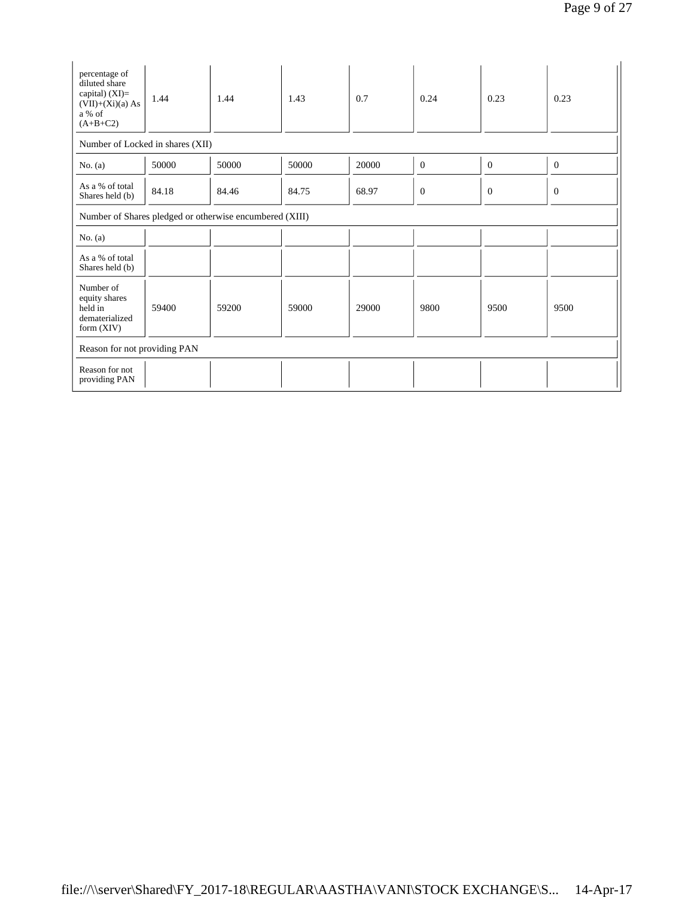| percentage of<br>diluted share<br>capital) (XI)=<br>$(VII)+(Xi)(a) As$<br>a % of<br>$(A+B+C2)$ | 1.44  | 1.44  | 1.43  | 0.7   | 0.24           | 0.23             | 0.23         |  |  |  |
|------------------------------------------------------------------------------------------------|-------|-------|-------|-------|----------------|------------------|--------------|--|--|--|
| Number of Locked in shares (XII)                                                               |       |       |       |       |                |                  |              |  |  |  |
| No. $(a)$                                                                                      | 50000 | 50000 | 50000 | 20000 | $\theta$       | $\mathbf{0}$     | $\mathbf{0}$ |  |  |  |
| As a % of total<br>Shares held (b)                                                             | 84.18 | 84.46 | 84.75 | 68.97 | $\overline{0}$ | $\boldsymbol{0}$ | $\mathbf{0}$ |  |  |  |
| Number of Shares pledged or otherwise encumbered (XIII)                                        |       |       |       |       |                |                  |              |  |  |  |
| No. $(a)$                                                                                      |       |       |       |       |                |                  |              |  |  |  |
| As a % of total<br>Shares held (b)                                                             |       |       |       |       |                |                  |              |  |  |  |
| Number of<br>equity shares<br>held in<br>dematerialized<br>form $(XIV)$                        | 59400 | 59200 | 59000 | 29000 | 9800           | 9500             | 9500         |  |  |  |
| Reason for not providing PAN                                                                   |       |       |       |       |                |                  |              |  |  |  |
| Reason for not<br>providing PAN                                                                |       |       |       |       |                |                  |              |  |  |  |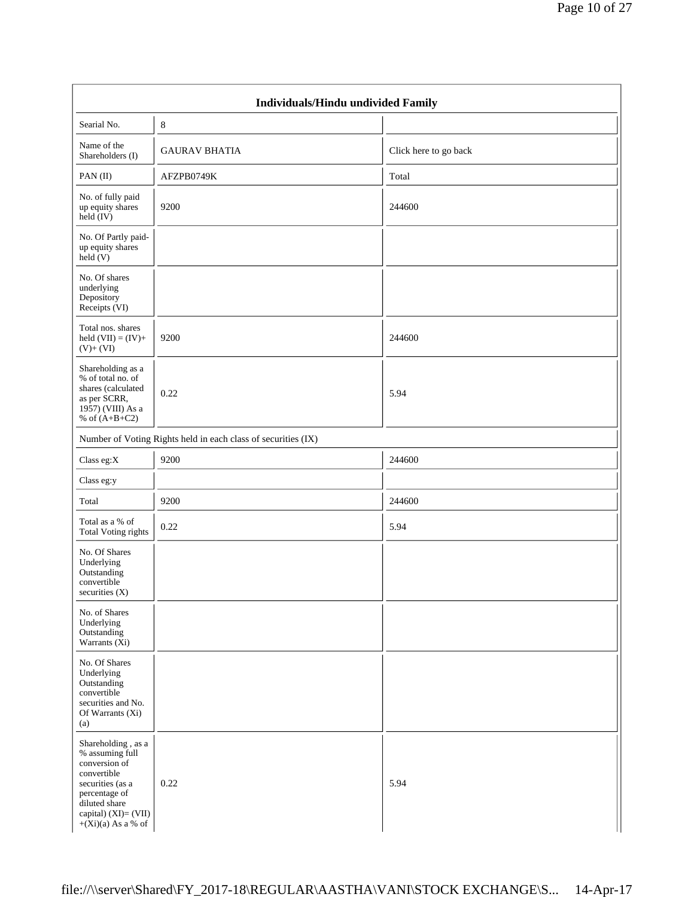|                                                                                                                                                                              | Individuals/Hindu undivided Family                            |                       |
|------------------------------------------------------------------------------------------------------------------------------------------------------------------------------|---------------------------------------------------------------|-----------------------|
| Searial No.                                                                                                                                                                  | 8                                                             |                       |
| Name of the<br>Shareholders (I)                                                                                                                                              | <b>GAURAV BHATIA</b>                                          | Click here to go back |
| PAN(II)                                                                                                                                                                      | AFZPB0749K                                                    | Total                 |
| No. of fully paid<br>up equity shares<br>held (IV)                                                                                                                           | 9200                                                          | 244600                |
| No. Of Partly paid-<br>up equity shares<br>$\text{held}$ (V)                                                                                                                 |                                                               |                       |
| No. Of shares<br>underlying<br>Depository<br>Receipts (VI)                                                                                                                   |                                                               |                       |
| Total nos. shares<br>held $(VII) = (IV) +$<br>$(V)+(VI)$                                                                                                                     | 9200                                                          | 244600                |
| Shareholding as a<br>% of total no. of<br>shares (calculated<br>as per SCRR,<br>1957) (VIII) As a<br>% of $(A+B+C2)$                                                         | 0.22                                                          | 5.94                  |
|                                                                                                                                                                              | Number of Voting Rights held in each class of securities (IX) |                       |
| Class eg: $X$                                                                                                                                                                | 9200                                                          | 244600                |
| Class eg:y                                                                                                                                                                   |                                                               |                       |
| Total                                                                                                                                                                        | 9200                                                          | 244600                |
| Total as a % of<br><b>Total Voting rights</b>                                                                                                                                | 0.22                                                          | 5.94                  |
| No. Of Shares<br>Underlying<br>Outstanding<br>convertible<br>securities (X)                                                                                                  |                                                               |                       |
| No. of Shares<br>Underlying<br>Outstanding<br>Warrants $(Xi)$                                                                                                                |                                                               |                       |
| No. Of Shares<br>Underlying<br>Outstanding<br>convertible<br>securities and No.<br>Of Warrants (Xi)<br>(a)                                                                   |                                                               |                       |
| Shareholding, as a<br>% assuming full<br>conversion of<br>convertible<br>securities (as a<br>percentage of<br>diluted share<br>capital) $(XI)=(VII)$<br>$+(Xi)(a)$ As a % of | 0.22                                                          | 5.94                  |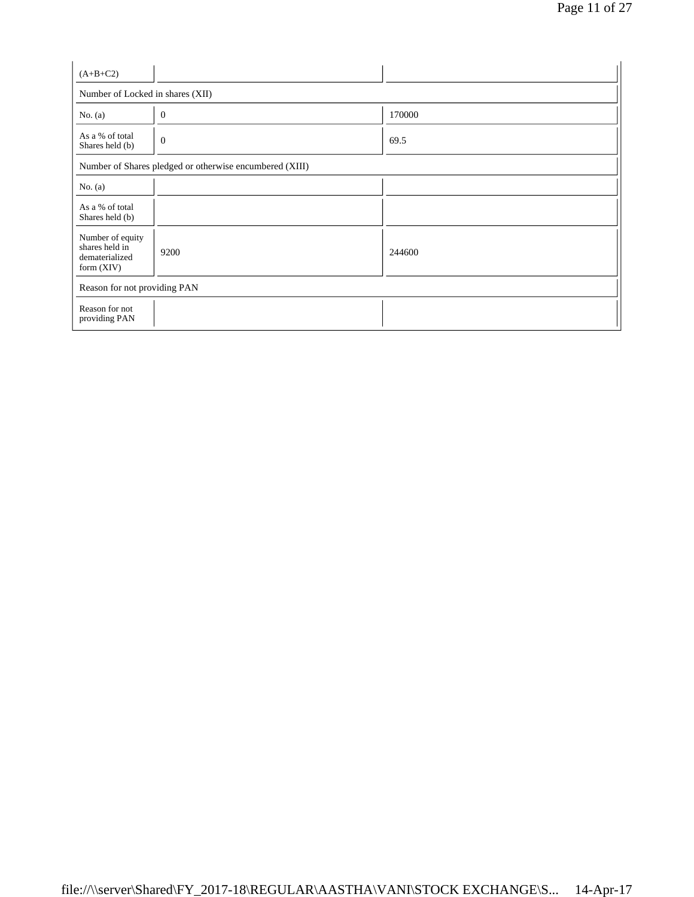| $(A+B+C2)$                                                           |                                                         |        |
|----------------------------------------------------------------------|---------------------------------------------------------|--------|
| Number of Locked in shares (XII)                                     |                                                         |        |
| No. $(a)$                                                            | $\mathbf{0}$                                            | 170000 |
| As a % of total<br>Shares held (b)                                   | $\overline{0}$                                          | 69.5   |
|                                                                      | Number of Shares pledged or otherwise encumbered (XIII) |        |
| No. $(a)$                                                            |                                                         |        |
| As a % of total<br>Shares held (b)                                   |                                                         |        |
| Number of equity<br>shares held in<br>dematerialized<br>form $(XIV)$ | 9200                                                    | 244600 |
| Reason for not providing PAN                                         |                                                         |        |
| Reason for not<br>providing PAN                                      |                                                         |        |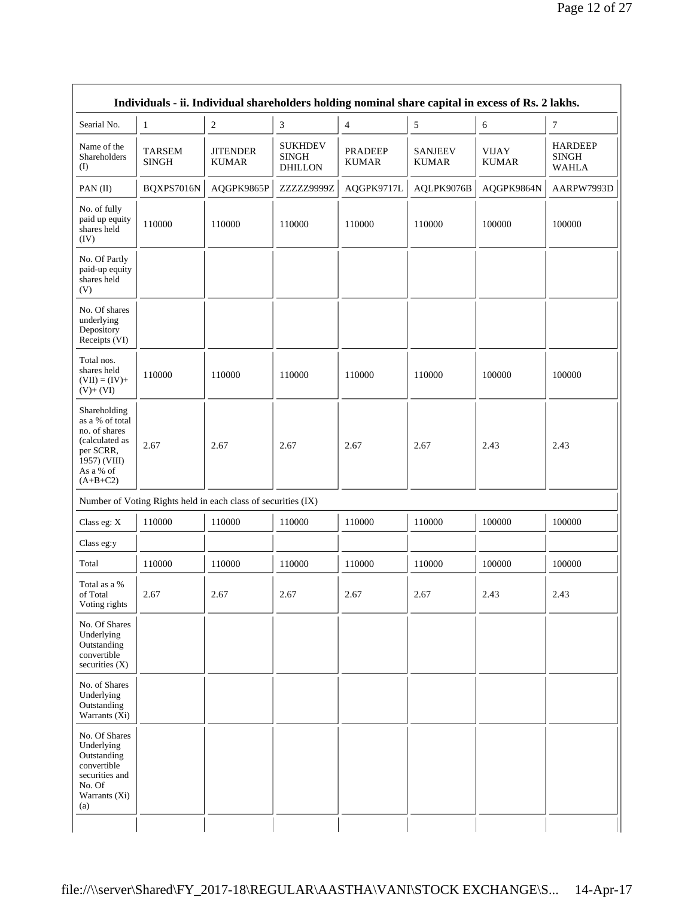| Searial No.                                                                                                                | $\mathbf{1}$                                                  | $\sqrt{2}$                      | 3                                                | $\overline{4}$                 | $\sqrt{5}$                     | 6                            | $\tau$                                         |
|----------------------------------------------------------------------------------------------------------------------------|---------------------------------------------------------------|---------------------------------|--------------------------------------------------|--------------------------------|--------------------------------|------------------------------|------------------------------------------------|
| Name of the<br>Shareholders<br>(I)                                                                                         | <b>TARSEM</b><br><b>SINGH</b>                                 | <b>JITENDER</b><br><b>KUMAR</b> | <b>SUKHDEV</b><br><b>SINGH</b><br><b>DHILLON</b> | <b>PRADEEP</b><br><b>KUMAR</b> | <b>SANJEEV</b><br><b>KUMAR</b> | <b>VIJAY</b><br><b>KUMAR</b> | <b>HARDEEP</b><br><b>SINGH</b><br><b>WAHLA</b> |
| PAN(II)                                                                                                                    | BQXPS7016N                                                    | AQGPK9865P                      | ZZZZZ9999Z                                       | AQGPK9717L                     | AQLPK9076B                     | AQGPK9864N                   | AARPW7993D                                     |
| No. of fully<br>paid up equity<br>shares held<br>(IV)                                                                      | 110000                                                        | 110000                          | 110000                                           | 110000                         | 110000                         | 100000                       | 100000                                         |
| No. Of Partly<br>paid-up equity<br>shares held<br>(V)                                                                      |                                                               |                                 |                                                  |                                |                                |                              |                                                |
| No. Of shares<br>underlying<br>Depository<br>Receipts (VI)                                                                 |                                                               |                                 |                                                  |                                |                                |                              |                                                |
| Total nos.<br>shares held<br>$(VII) = (IV) +$<br>$(V)+(VI)$                                                                | 110000                                                        | 110000                          | 110000                                           | 110000                         | 110000                         | 100000                       | 100000                                         |
| Shareholding<br>as a % of total<br>no. of shares<br>(calculated as<br>per SCRR,<br>1957) (VIII)<br>As a % of<br>$(A+B+C2)$ | 2.67                                                          | 2.67                            | 2.67                                             | 2.67                           | 2.67                           | 2.43                         | 2.43                                           |
|                                                                                                                            | Number of Voting Rights held in each class of securities (IX) |                                 |                                                  |                                |                                |                              |                                                |
| Class eg: X                                                                                                                | 110000                                                        | 110000                          | 110000                                           | 110000                         | 110000                         | 100000                       | 100000                                         |
| Class eg:y                                                                                                                 |                                                               |                                 |                                                  |                                |                                |                              |                                                |
| Total                                                                                                                      | 110000                                                        | 110000                          | 110000                                           | 110000                         | 110000                         | 100000                       | 100000                                         |
| Total as a %<br>of Total<br>Voting rights                                                                                  | 2.67                                                          | 2.67                            | 2.67                                             | 2.67                           | 2.67                           | 2.43                         | 2.43                                           |
| No. Of Shares<br>Underlying<br>Outstanding<br>convertible<br>securities (X)                                                |                                                               |                                 |                                                  |                                |                                |                              |                                                |
| No. of Shares<br>Underlying<br>Outstanding<br>Warrants (Xi)                                                                |                                                               |                                 |                                                  |                                |                                |                              |                                                |
| No. Of Shares<br>Underlying<br>Outstanding<br>convertible<br>securities and<br>No. Of<br>Warrants (Xi)<br>(a)              |                                                               |                                 |                                                  |                                |                                |                              |                                                |

 $\mathsf{r}$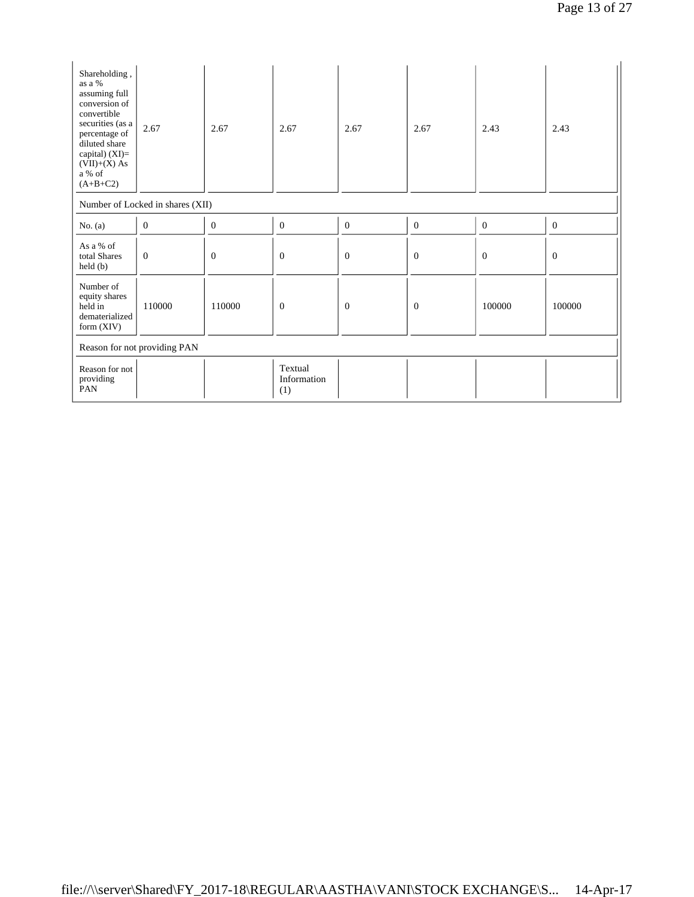| Shareholding,<br>as a %<br>assuming full<br>conversion of<br>convertible<br>securities (as a<br>percentage of<br>diluted share<br>capital) $(XI)=$<br>$(VII)+(X)$ As<br>$\rm{a}$ % of<br>$(A+B+C2)$ | 2.67                             | 2.67             | 2.67                          | 2.67           | 2.67           | 2.43             | 2.43             |  |
|-----------------------------------------------------------------------------------------------------------------------------------------------------------------------------------------------------|----------------------------------|------------------|-------------------------------|----------------|----------------|------------------|------------------|--|
|                                                                                                                                                                                                     | Number of Locked in shares (XII) |                  |                               |                |                |                  |                  |  |
| No. $(a)$                                                                                                                                                                                           | $\mathbf{0}$                     | $\boldsymbol{0}$ | $\boldsymbol{0}$              | $\overline{0}$ | $\mathbf{0}$   | $\boldsymbol{0}$ | $\boldsymbol{0}$ |  |
| As a % of<br>total Shares<br>$\text{held}(\text{b})$                                                                                                                                                | $\theta$                         | $\mathbf{0}$     | $\mathbf{0}$                  | $\mathbf{0}$   | $\overline{0}$ | $\boldsymbol{0}$ | $\mathbf{0}$     |  |
| Number of<br>equity shares<br>held in<br>dematerialized<br>form $(XIV)$                                                                                                                             | 110000                           | 110000           | $\overline{0}$                | $\mathbf{0}$   | $\theta$       | 100000           | 100000           |  |
| Reason for not providing PAN                                                                                                                                                                        |                                  |                  |                               |                |                |                  |                  |  |
| Reason for not<br>providing<br>PAN                                                                                                                                                                  |                                  |                  | Textual<br>Information<br>(1) |                |                |                  |                  |  |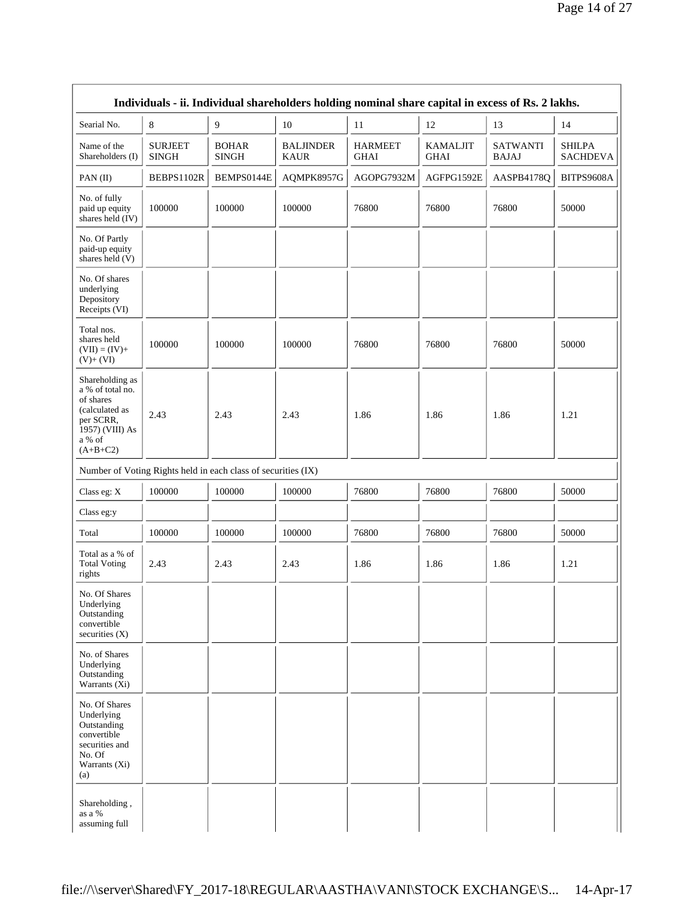|                                                                                                                            |                                |                                                               |                                 | Individuals - ii. Individual shareholders holding nominal share capital in excess of Rs. 2 lakhs. |                                |                                 |                                  |
|----------------------------------------------------------------------------------------------------------------------------|--------------------------------|---------------------------------------------------------------|---------------------------------|---------------------------------------------------------------------------------------------------|--------------------------------|---------------------------------|----------------------------------|
| Searial No.                                                                                                                | $\,8\,$                        | $\overline{9}$                                                | 10                              | 11                                                                                                | 12                             | 13                              | 14                               |
| Name of the<br>Shareholders (I)                                                                                            | <b>SURJEET</b><br><b>SINGH</b> | <b>BOHAR</b><br><b>SINGH</b>                                  | <b>BALJINDER</b><br><b>KAUR</b> | <b>HARMEET</b><br><b>GHAI</b>                                                                     | <b>KAMALJIT</b><br><b>GHAI</b> | <b>SATWANTI</b><br><b>BAJAJ</b> | <b>SHILPA</b><br><b>SACHDEVA</b> |
| PAN(II)                                                                                                                    | BEBPS1102R                     | BEMPS0144E                                                    | AQMPK8957G                      | AGOPG7932M                                                                                        | AGFPG1592E                     | AASPB4178Q                      | BITPS9608A                       |
| No. of fully<br>paid up equity<br>shares held $(IV)$                                                                       | 100000                         | 100000                                                        | 100000                          | 76800                                                                                             | 76800                          | 76800                           | 50000                            |
| No. Of Partly<br>paid-up equity<br>shares held (V)                                                                         |                                |                                                               |                                 |                                                                                                   |                                |                                 |                                  |
| No. Of shares<br>underlying<br>Depository<br>Receipts (VI)                                                                 |                                |                                                               |                                 |                                                                                                   |                                |                                 |                                  |
| Total nos.<br>shares held<br>$(VII) = (IV) +$<br>$(V)+(VI)$                                                                | 100000                         | 100000                                                        | 100000                          | 76800                                                                                             | 76800                          | 76800                           | 50000                            |
| Shareholding as<br>a % of total no.<br>of shares<br>(calculated as<br>per SCRR,<br>1957) (VIII) As<br>a % of<br>$(A+B+C2)$ | 2.43                           | 2.43                                                          | 2.43                            | 1.86                                                                                              | 1.86                           | 1.86                            | 1.21                             |
|                                                                                                                            |                                | Number of Voting Rights held in each class of securities (IX) |                                 |                                                                                                   |                                |                                 |                                  |
| Class eg: X                                                                                                                | 100000                         | 100000                                                        | 100000                          | 76800                                                                                             | 76800                          | 76800                           | 50000                            |
| Class eg:y                                                                                                                 |                                |                                                               |                                 |                                                                                                   |                                |                                 |                                  |
| Total                                                                                                                      | 100000                         | 100000                                                        | 100000                          | 76800                                                                                             | 76800                          | 76800                           | 50000                            |
| Total as a % of<br><b>Total Voting</b><br>rights                                                                           | 2.43                           | 2.43                                                          | 2.43                            | 1.86                                                                                              | 1.86                           | 1.86                            | 1.21                             |
| No. Of Shares<br>Underlying<br>Outstanding<br>convertible<br>securities $(X)$                                              |                                |                                                               |                                 |                                                                                                   |                                |                                 |                                  |
| No. of Shares<br>Underlying<br>Outstanding<br>Warrants (Xi)                                                                |                                |                                                               |                                 |                                                                                                   |                                |                                 |                                  |
| No. Of Shares<br>Underlying<br>Outstanding<br>convertible<br>securities and<br>No. Of<br>Warrants (Xi)<br>(a)              |                                |                                                               |                                 |                                                                                                   |                                |                                 |                                  |
| Shareholding,<br>as a %<br>assuming full                                                                                   |                                |                                                               |                                 |                                                                                                   |                                |                                 |                                  |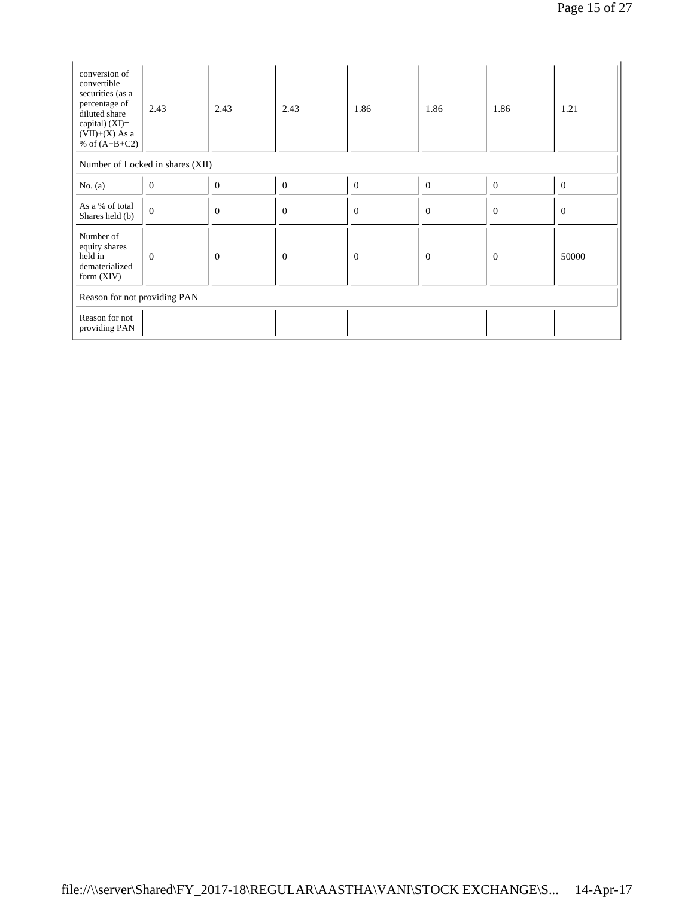| conversion of<br>convertible<br>securities (as a<br>percentage of<br>diluted share<br>capital) (XI)=<br>$(VII)+(X)$ As a<br>% of $(A+B+C2)$ | 2.43                             | 2.43           | 2.43             | 1.86             | 1.86           | 1.86           | 1.21             |  |
|---------------------------------------------------------------------------------------------------------------------------------------------|----------------------------------|----------------|------------------|------------------|----------------|----------------|------------------|--|
|                                                                                                                                             | Number of Locked in shares (XII) |                |                  |                  |                |                |                  |  |
| No. $(a)$                                                                                                                                   | $\mathbf{0}$                     | $\theta$       | $\boldsymbol{0}$ | $\boldsymbol{0}$ | $\mathbf{0}$   | $\mathbf{0}$   | $\boldsymbol{0}$ |  |
| As a % of total<br>Shares held (b)                                                                                                          | $\mathbf{0}$                     | $\theta$       | $\Omega$         | $\theta$         | $\theta$       | $\Omega$       | $\mathbf{0}$     |  |
| Number of<br>equity shares<br>held in<br>dematerialized<br>form $(XIV)$                                                                     | $\overline{0}$                   | $\overline{0}$ | $\overline{0}$   | $\overline{0}$   | $\overline{0}$ | $\overline{0}$ | 50000            |  |
| Reason for not providing PAN                                                                                                                |                                  |                |                  |                  |                |                |                  |  |
| Reason for not<br>providing PAN                                                                                                             |                                  |                |                  |                  |                |                |                  |  |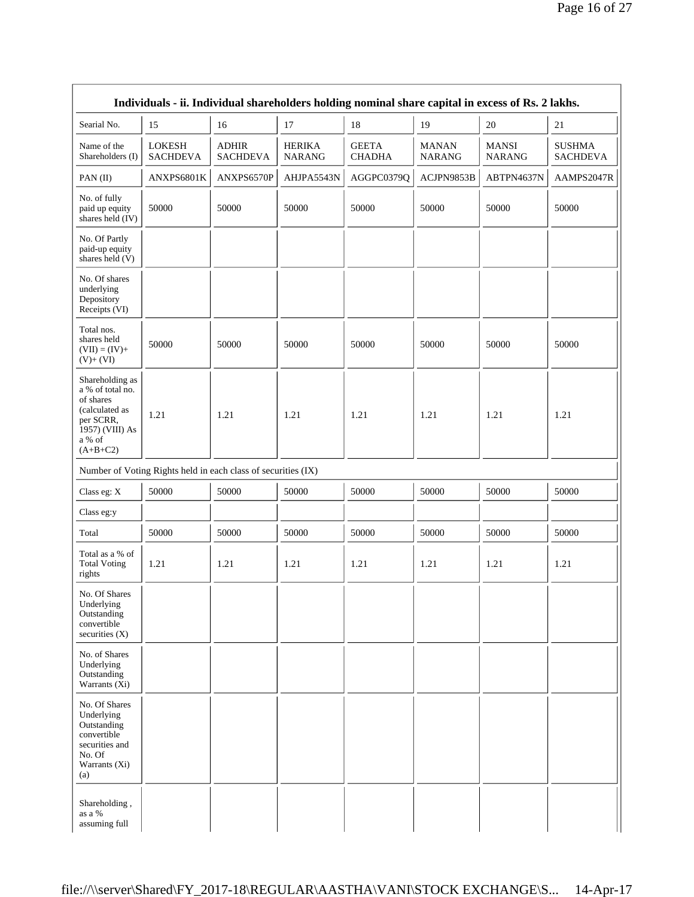| Individuals - ii. Individual shareholders holding nominal share capital in excess of Rs. 2 lakhs.                          |                                                               |                                 |                                |                               |                               |                               |                                  |  |  |
|----------------------------------------------------------------------------------------------------------------------------|---------------------------------------------------------------|---------------------------------|--------------------------------|-------------------------------|-------------------------------|-------------------------------|----------------------------------|--|--|
| Searial No.                                                                                                                | 15                                                            | 16                              | 17                             | 18                            | 19                            | 20                            | 21                               |  |  |
| Name of the<br>Shareholders (I)                                                                                            | <b>LOKESH</b><br><b>SACHDEVA</b>                              | <b>ADHIR</b><br><b>SACHDEVA</b> | <b>HERIKA</b><br><b>NARANG</b> | <b>GEETA</b><br><b>CHADHA</b> | <b>MANAN</b><br><b>NARANG</b> | <b>MANSI</b><br><b>NARANG</b> | <b>SUSHMA</b><br><b>SACHDEVA</b> |  |  |
| PAN(II)                                                                                                                    | ANXPS6801K                                                    | ANXPS6570P                      | AHJPA5543N                     | AGGPC0379Q                    | ACJPN9853B                    | ABTPN4637N                    | AAMPS2047R                       |  |  |
| No. of fully<br>paid up equity<br>shares held (IV)                                                                         | 50000                                                         | 50000                           | 50000                          | 50000                         | 50000                         | 50000                         | 50000                            |  |  |
| No. Of Partly<br>paid-up equity<br>shares held (V)                                                                         |                                                               |                                 |                                |                               |                               |                               |                                  |  |  |
| No. Of shares<br>underlying<br>Depository<br>Receipts (VI)                                                                 |                                                               |                                 |                                |                               |                               |                               |                                  |  |  |
| Total nos.<br>shares held<br>$(VII) = (IV) +$<br>$(V)+(VI)$                                                                | 50000                                                         | 50000                           | 50000                          | 50000                         | 50000                         | 50000                         | 50000                            |  |  |
| Shareholding as<br>a % of total no.<br>of shares<br>(calculated as<br>per SCRR,<br>1957) (VIII) As<br>a % of<br>$(A+B+C2)$ | 1.21                                                          | 1.21                            | 1.21                           | 1.21                          | 1.21                          | 1.21                          | 1.21                             |  |  |
|                                                                                                                            | Number of Voting Rights held in each class of securities (IX) |                                 |                                |                               |                               |                               |                                  |  |  |
| Class eg: X                                                                                                                | 50000                                                         | 50000                           | 50000                          | 50000                         | 50000                         | 50000                         | 50000                            |  |  |
| Class eg:y                                                                                                                 |                                                               |                                 |                                |                               |                               |                               |                                  |  |  |
| Total                                                                                                                      | 50000                                                         | 50000                           | 50000                          | 50000                         | 50000                         | 50000                         | 50000                            |  |  |
| Total as a % of<br><b>Total Voting</b><br>rights                                                                           | 1.21                                                          | 1.21                            | 1.21                           | 1.21                          | 1.21                          | 1.21                          | 1.21                             |  |  |
| No. Of Shares<br>Underlying<br>Outstanding<br>convertible<br>securities (X)                                                |                                                               |                                 |                                |                               |                               |                               |                                  |  |  |
| No. of Shares<br>Underlying<br>Outstanding<br>Warrants (Xi)                                                                |                                                               |                                 |                                |                               |                               |                               |                                  |  |  |
| No. Of Shares<br>Underlying<br>Outstanding<br>convertible<br>securities and<br>No. Of<br>Warrants (Xi)<br>(a)              |                                                               |                                 |                                |                               |                               |                               |                                  |  |  |
| Shareholding,<br>as a %<br>assuming full                                                                                   |                                                               |                                 |                                |                               |                               |                               |                                  |  |  |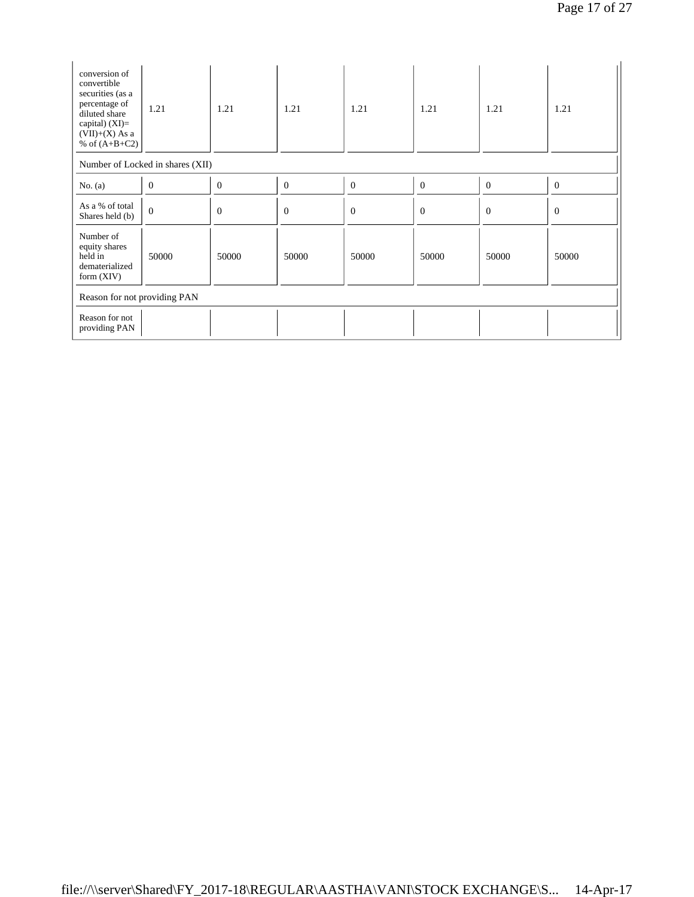| conversion of<br>convertible<br>securities (as a<br>percentage of<br>diluted share<br>capital) $(XI)=$<br>$(VII)+(X)$ As a<br>% of $(A+B+C2)$ | 1.21                             | 1.21           | 1.21           | 1.21             | 1.21           | 1.21           | 1.21           |  |
|-----------------------------------------------------------------------------------------------------------------------------------------------|----------------------------------|----------------|----------------|------------------|----------------|----------------|----------------|--|
|                                                                                                                                               | Number of Locked in shares (XII) |                |                |                  |                |                |                |  |
| No. $(a)$                                                                                                                                     | $\boldsymbol{0}$                 | $\mathbf{0}$   | $\mathbf{0}$   | $\boldsymbol{0}$ | $\theta$       | $\overline{0}$ | $\overline{0}$ |  |
| As a % of total<br>Shares held (b)                                                                                                            | $\mathbf{0}$                     | $\overline{0}$ | $\overline{0}$ | $\boldsymbol{0}$ | $\overline{0}$ | $\Omega$       | $\theta$       |  |
| Number of<br>equity shares<br>held in<br>dematerialized<br>form $(XIV)$                                                                       | 50000                            | 50000          | 50000          | 50000            | 50000          | 50000          | 50000          |  |
| Reason for not providing PAN                                                                                                                  |                                  |                |                |                  |                |                |                |  |
| Reason for not<br>providing PAN                                                                                                               |                                  |                |                |                  |                |                |                |  |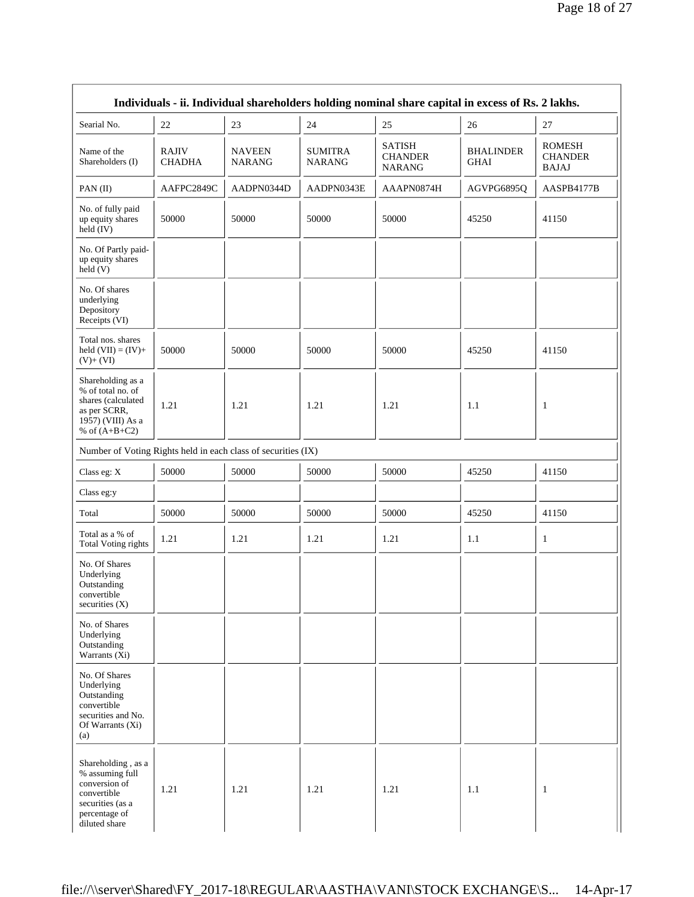|                                                                                                                             |                               |                                |                                 | Individuals - ii. Individual shareholders holding nominal share capital in excess of Rs. 2 lakhs. |                                 |                                                 |
|-----------------------------------------------------------------------------------------------------------------------------|-------------------------------|--------------------------------|---------------------------------|---------------------------------------------------------------------------------------------------|---------------------------------|-------------------------------------------------|
| Searial No.                                                                                                                 | 22                            | 23                             | 24                              | 25                                                                                                | 26                              | 27                                              |
| Name of the<br>Shareholders (I)                                                                                             | <b>RAJIV</b><br><b>CHADHA</b> | <b>NAVEEN</b><br><b>NARANG</b> | <b>SUMITRA</b><br><b>NARANG</b> | <b>SATISH</b><br><b>CHANDER</b><br><b>NARANG</b>                                                  | <b>BHALINDER</b><br><b>GHAI</b> | <b>ROMESH</b><br><b>CHANDER</b><br><b>BAJAJ</b> |
| PAN (II)                                                                                                                    | AAFPC2849C                    | AADPN0344D                     | AADPN0343E                      | AAAPN0874H                                                                                        | AGVPG6895Q                      | AASPB4177B                                      |
| No. of fully paid<br>up equity shares<br>held (IV)                                                                          | 50000                         | 50000                          | 50000                           | 50000                                                                                             | 45250                           | 41150                                           |
| No. Of Partly paid-<br>up equity shares<br>$\text{held}(V)$                                                                 |                               |                                |                                 |                                                                                                   |                                 |                                                 |
| No. Of shares<br>underlying<br>Depository<br>Receipts (VI)                                                                  |                               |                                |                                 |                                                                                                   |                                 |                                                 |
| Total nos. shares<br>held $(VII) = (IV) +$<br>$(V)+(VI)$                                                                    | 50000                         | 50000                          | 50000                           | 50000                                                                                             | 45250                           | 41150                                           |
| Shareholding as a<br>% of total no. of<br>shares (calculated<br>as per SCRR,<br>1957) (VIII) As a<br>% of $(A+B+C2)$        | 1.21                          | 1.21                           | 1.21                            | 1.21                                                                                              | 1.1                             | 1                                               |
| Number of Voting Rights held in each class of securities (IX)                                                               |                               |                                |                                 |                                                                                                   |                                 |                                                 |
| Class eg: X                                                                                                                 | 50000                         | 50000                          | 50000                           | 50000                                                                                             | 45250                           | 41150                                           |
| Class eg:y                                                                                                                  |                               |                                |                                 |                                                                                                   |                                 |                                                 |
| Total                                                                                                                       | 50000                         | 50000                          | 50000                           | 50000                                                                                             | 45250                           | 41150                                           |
| Total as a % of<br>Total Voting rights                                                                                      | 1.21                          | 1.21                           | 1.21                            | 1.21                                                                                              | 1.1                             | $\mathbf{1}$                                    |
| No. Of Shares<br>Underlying<br>Outstanding<br>convertible<br>securities (X)                                                 |                               |                                |                                 |                                                                                                   |                                 |                                                 |
| No. of Shares<br>Underlying<br>Outstanding<br>Warrants (Xi)                                                                 |                               |                                |                                 |                                                                                                   |                                 |                                                 |
| No. Of Shares<br>Underlying<br>Outstanding<br>convertible<br>securities and No.<br>Of Warrants (Xi)<br>(a)                  |                               |                                |                                 |                                                                                                   |                                 |                                                 |
| Shareholding, as a<br>% assuming full<br>conversion of<br>convertible<br>securities (as a<br>percentage of<br>diluted share | 1.21                          | 1.21                           | 1.21                            | 1.21                                                                                              | 1.1                             | $\mathbf{1}$                                    |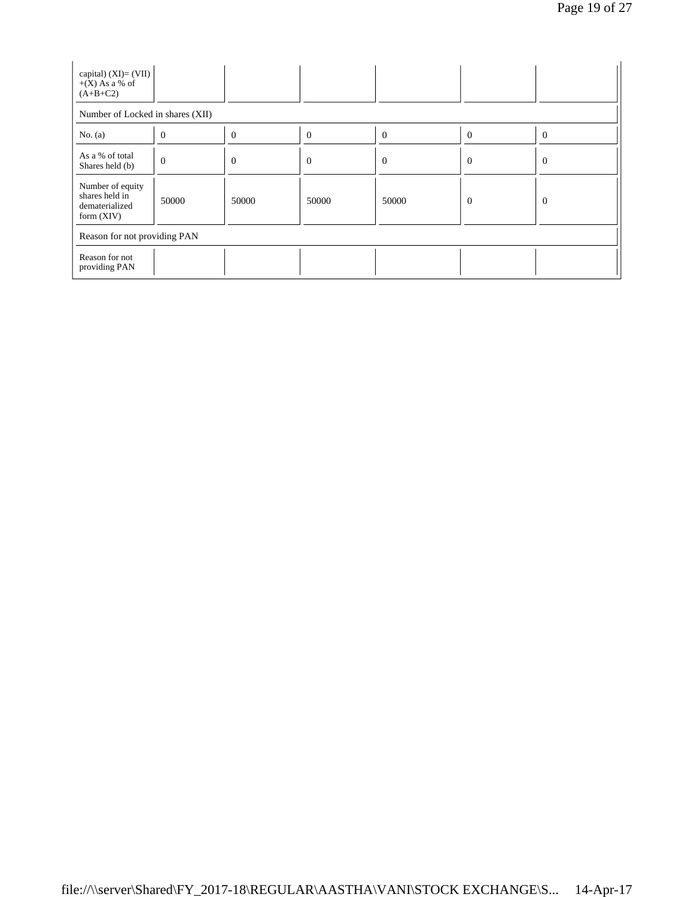| capital) $(XI) = (VII)$<br>$+(X)$ As a % of<br>$(A+B+C2)$            |          |          |                |                |                |          |  |  |
|----------------------------------------------------------------------|----------|----------|----------------|----------------|----------------|----------|--|--|
| Number of Locked in shares (XII)                                     |          |          |                |                |                |          |  |  |
| No. (a)                                                              | $\theta$ | 0        | $\overline{0}$ | $\overline{0}$ | $\overline{0}$ | $\theta$ |  |  |
| As a % of total<br>Shares held (b)                                   | $\theta$ | $\theta$ | $\mathbf{0}$   | $\theta$       | $\overline{0}$ | $\theta$ |  |  |
| Number of equity<br>shares held in<br>dematerialized<br>form $(XIV)$ | 50000    | 50000    | 50000          | 50000          | $\overline{0}$ | $\theta$ |  |  |
| Reason for not providing PAN                                         |          |          |                |                |                |          |  |  |
| Reason for not<br>providing PAN                                      |          |          |                |                |                |          |  |  |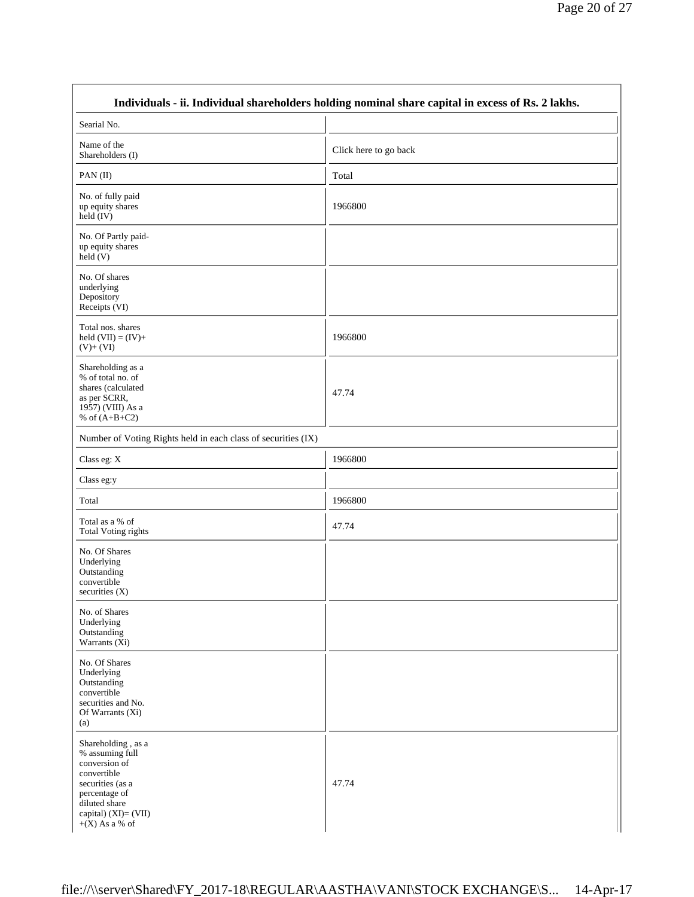|                                                                                                                                                                         | Individuals - ii. Individual shareholders holding nominal share capital in excess of Rs. 2 lakhs. |  |
|-------------------------------------------------------------------------------------------------------------------------------------------------------------------------|---------------------------------------------------------------------------------------------------|--|
| Searial No.                                                                                                                                                             |                                                                                                   |  |
| Name of the<br>Shareholders (I)                                                                                                                                         | Click here to go back                                                                             |  |
| PAN(II)                                                                                                                                                                 | Total                                                                                             |  |
| No. of fully paid<br>up equity shares<br>held (IV)                                                                                                                      | 1966800                                                                                           |  |
| No. Of Partly paid-<br>up equity shares<br>held(V)                                                                                                                      |                                                                                                   |  |
| No. Of shares<br>underlying<br>Depository<br>Receipts (VI)                                                                                                              |                                                                                                   |  |
| Total nos. shares<br>held $(VII) = (IV) +$<br>$(V)+(VI)$                                                                                                                | 1966800                                                                                           |  |
| Shareholding as a<br>% of total no. of<br>shares (calculated<br>as per SCRR,<br>1957) (VIII) As a<br>% of $(A+B+C2)$                                                    | 47.74                                                                                             |  |
| Number of Voting Rights held in each class of securities (IX)                                                                                                           |                                                                                                   |  |
| Class eg: X                                                                                                                                                             | 1966800                                                                                           |  |
| Class eg:y                                                                                                                                                              |                                                                                                   |  |
| Total                                                                                                                                                                   | 1966800                                                                                           |  |
| Total as a % of<br><b>Total Voting rights</b>                                                                                                                           | 47.74                                                                                             |  |
| No. Of Shares<br>Underlying<br>Outstanding<br>convertible<br>securities $(X)$                                                                                           |                                                                                                   |  |
| No. of Shares<br>Underlying<br>Outstanding<br>Warrants $(X_i)$                                                                                                          |                                                                                                   |  |
| No. Of Shares<br>Underlying<br>Outstanding<br>convertible<br>securities and No.<br>Of Warrants (Xi)<br>(a)                                                              |                                                                                                   |  |
| Shareholding, as a<br>% assuming full<br>conversion of<br>convertible<br>securities (as a<br>percentage of<br>diluted share<br>capital) (XI)= (VII)<br>$+(X)$ As a % of | 47.74                                                                                             |  |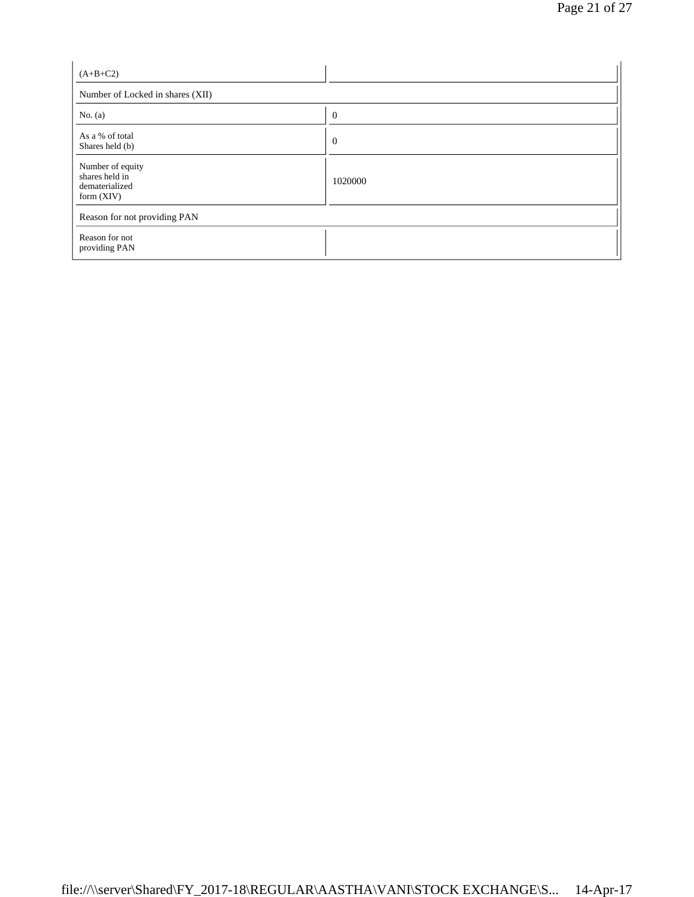| $(A+B+C2)$                                                           |              |
|----------------------------------------------------------------------|--------------|
| Number of Locked in shares (XII)                                     |              |
| No. $(a)$                                                            | $\mathbf{0}$ |
| As a % of total<br>Shares held (b)                                   | $\mathbf{0}$ |
| Number of equity<br>shares held in<br>dematerialized<br>form $(XIV)$ | 1020000      |
| Reason for not providing PAN                                         |              |
| Reason for not<br>providing PAN                                      |              |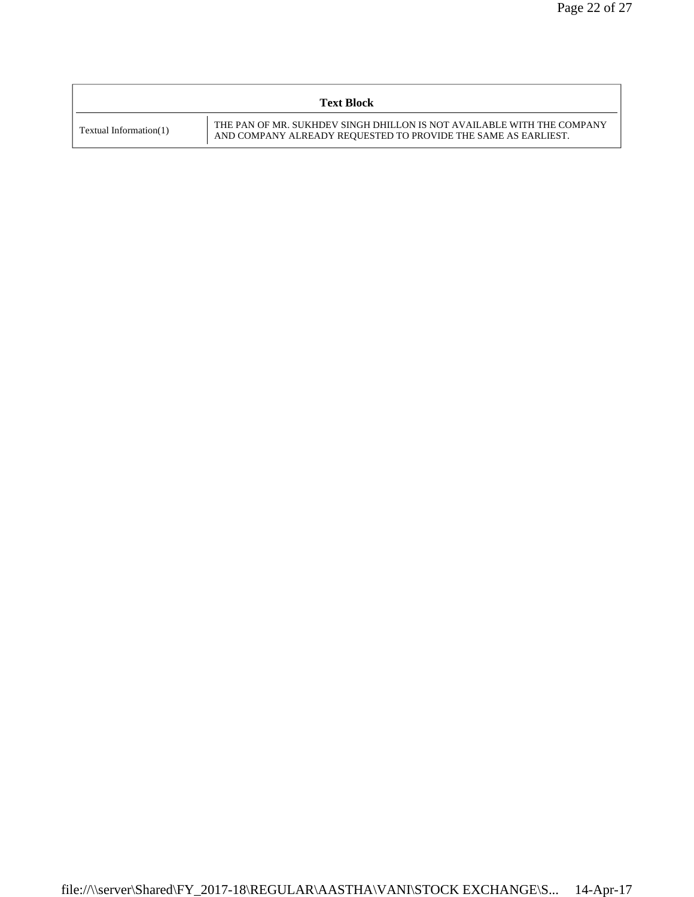|                        | <b>Text Block</b>                                                                                                                        |
|------------------------|------------------------------------------------------------------------------------------------------------------------------------------|
| Textual Information(1) | THE PAN OF MR. SUKHDEV SINGH DHILLON IS NOT AVAILABLE WITH THE COMPANY<br>AND COMPANY ALREADY REQUESTED TO PROVIDE THE SAME AS EARLIEST. |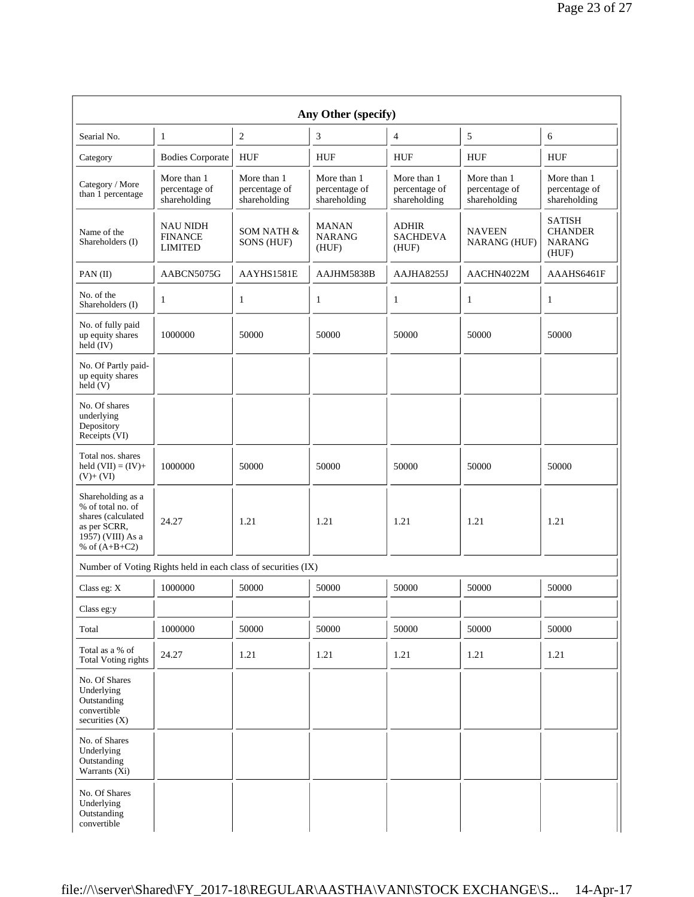| Any Other (specify)                                                                                                  |                                                               |                                              |                                              |                                              |                                              |                                                           |  |  |  |
|----------------------------------------------------------------------------------------------------------------------|---------------------------------------------------------------|----------------------------------------------|----------------------------------------------|----------------------------------------------|----------------------------------------------|-----------------------------------------------------------|--|--|--|
| Searial No.                                                                                                          | 1                                                             | $\overline{c}$                               | 3                                            | 4                                            | 5                                            | 6                                                         |  |  |  |
| Category                                                                                                             | <b>Bodies Corporate</b>                                       | <b>HUF</b>                                   | <b>HUF</b>                                   | <b>HUF</b>                                   | <b>HUF</b>                                   | <b>HUF</b>                                                |  |  |  |
| Category / More<br>than 1 percentage                                                                                 | More than 1<br>percentage of<br>shareholding                  | More than 1<br>percentage of<br>shareholding | More than 1<br>percentage of<br>shareholding | More than 1<br>percentage of<br>shareholding | More than 1<br>percentage of<br>shareholding | More than 1<br>percentage of<br>shareholding              |  |  |  |
| Name of the<br>Shareholders (I)                                                                                      | <b>NAU NIDH</b><br><b>FINANCE</b><br><b>LIMITED</b>           | SOM NATH &<br>SONS (HUF)                     | <b>MANAN</b><br><b>NARANG</b><br>(HUF)       | <b>ADHIR</b><br><b>SACHDEVA</b><br>(HUF)     | <b>NAVEEN</b><br>NARANG (HUF)                | <b>SATISH</b><br><b>CHANDER</b><br><b>NARANG</b><br>(HUF) |  |  |  |
| $PAN$ (II)                                                                                                           | AABCN5075G                                                    | AAYHS1581E                                   | AAJHM5838B                                   | AAJHA8255J                                   | AACHN4022M                                   | AAAHS6461F                                                |  |  |  |
| No. of the<br>Shareholders (I)                                                                                       | 1                                                             | 1                                            | 1                                            | 1                                            | 1                                            | 1                                                         |  |  |  |
| No. of fully paid<br>up equity shares<br>held (IV)                                                                   | 1000000                                                       | 50000                                        | 50000                                        | 50000                                        | 50000                                        | 50000                                                     |  |  |  |
| No. Of Partly paid-<br>up equity shares<br>$\text{held}(V)$                                                          |                                                               |                                              |                                              |                                              |                                              |                                                           |  |  |  |
| No. Of shares<br>underlying<br>Depository<br>Receipts (VI)                                                           |                                                               |                                              |                                              |                                              |                                              |                                                           |  |  |  |
| Total nos. shares<br>held $(VII) = (IV) +$<br>$(V)+(VI)$                                                             | 1000000                                                       | 50000                                        | 50000                                        | 50000                                        | 50000                                        | 50000                                                     |  |  |  |
| Shareholding as a<br>% of total no. of<br>shares (calculated<br>as per SCRR,<br>1957) (VIII) As a<br>% of $(A+B+C2)$ | 24.27                                                         | 1.21                                         | 1.21                                         | 1.21                                         | 1.21                                         | 1.21                                                      |  |  |  |
|                                                                                                                      | Number of Voting Rights held in each class of securities (IX) |                                              |                                              |                                              |                                              |                                                           |  |  |  |
| Class eg: X                                                                                                          | 1000000                                                       | 50000                                        | 50000                                        | 50000                                        | 50000                                        | 50000                                                     |  |  |  |
| Class eg:y                                                                                                           |                                                               |                                              |                                              |                                              |                                              |                                                           |  |  |  |
| Total                                                                                                                | 1000000                                                       | 50000                                        | 50000                                        | 50000                                        | 50000                                        | 50000                                                     |  |  |  |
| Total as a % of<br><b>Total Voting rights</b>                                                                        | 24.27                                                         | 1.21                                         | 1.21                                         | 1.21                                         | 1.21                                         | 1.21                                                      |  |  |  |
| No. Of Shares<br>Underlying<br>Outstanding<br>convertible<br>securities $(X)$                                        |                                                               |                                              |                                              |                                              |                                              |                                                           |  |  |  |
| No. of Shares<br>Underlying<br>Outstanding<br>Warrants (Xi)                                                          |                                                               |                                              |                                              |                                              |                                              |                                                           |  |  |  |
| No. Of Shares<br>Underlying<br>Outstanding<br>convertible                                                            |                                                               |                                              |                                              |                                              |                                              |                                                           |  |  |  |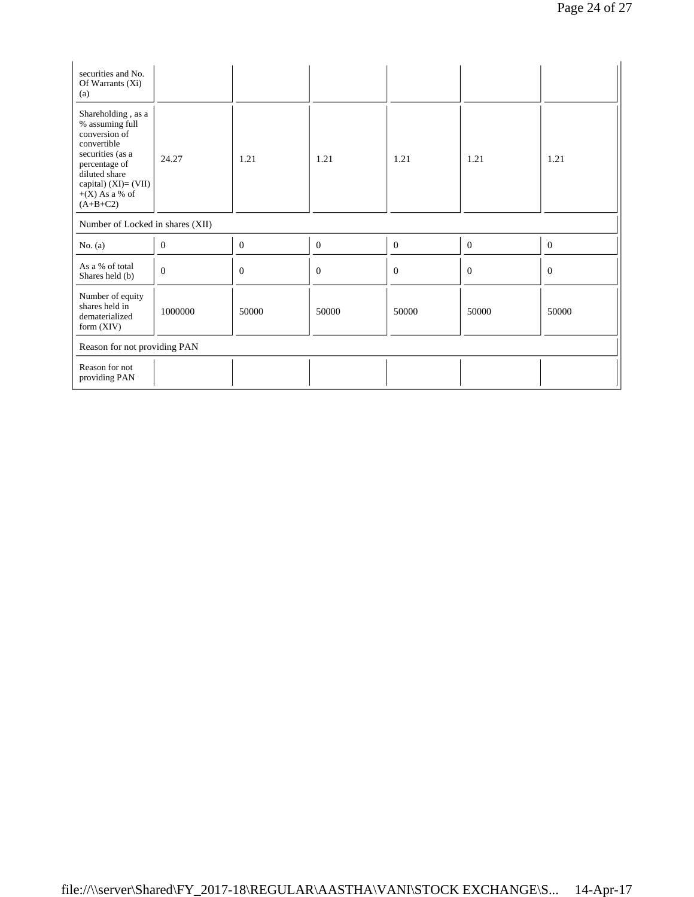| securities and No.<br>Of Warrants (Xi)<br>(a)                                                                                                                                            |                  |              |                |                  |                  |              |  |  |
|------------------------------------------------------------------------------------------------------------------------------------------------------------------------------------------|------------------|--------------|----------------|------------------|------------------|--------------|--|--|
| Shareholding, as a<br>% assuming full<br>conversion of<br>convertible<br>securities (as a<br>percentage of<br>diluted share<br>capital) $(XI) = (VII)$<br>$+(X)$ As a % of<br>$(A+B+C2)$ | 24.27            | 1.21         | 1.21           | 1.21             | 1.21             | 1.21         |  |  |
| Number of Locked in shares (XII)                                                                                                                                                         |                  |              |                |                  |                  |              |  |  |
| No. $(a)$                                                                                                                                                                                | $\boldsymbol{0}$ | $\mathbf{0}$ | $\theta$       | $\boldsymbol{0}$ | $\mathbf{0}$     | $\mathbf{0}$ |  |  |
| As a % of total<br>Shares held (b)                                                                                                                                                       | $\boldsymbol{0}$ | $\Omega$     | $\overline{0}$ | $\boldsymbol{0}$ | $\boldsymbol{0}$ | $\theta$     |  |  |
| Number of equity<br>shares held in<br>dematerialized<br>form $(XIV)$                                                                                                                     | 1000000          | 50000        | 50000          | 50000            | 50000            | 50000        |  |  |
| Reason for not providing PAN                                                                                                                                                             |                  |              |                |                  |                  |              |  |  |
| Reason for not<br>providing PAN                                                                                                                                                          |                  |              |                |                  |                  |              |  |  |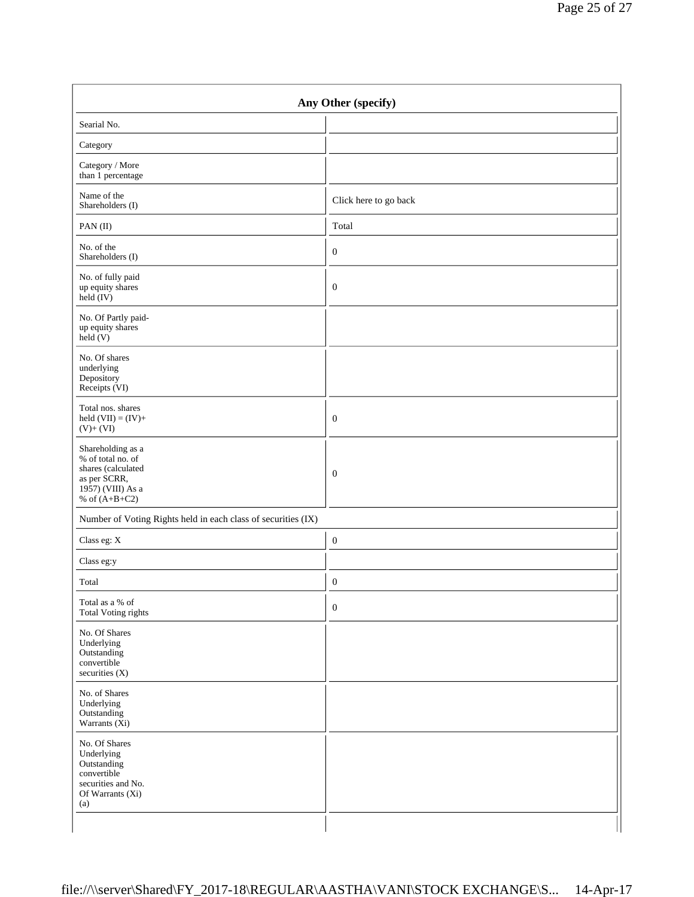| Any Other (specify)                                                                                                  |                       |  |
|----------------------------------------------------------------------------------------------------------------------|-----------------------|--|
| Searial No.                                                                                                          |                       |  |
| Category                                                                                                             |                       |  |
| Category / More<br>than 1 percentage                                                                                 |                       |  |
| Name of the<br>Shareholders (I)                                                                                      | Click here to go back |  |
| PAN(II)                                                                                                              | Total                 |  |
| No. of the<br>Shareholders (I)                                                                                       | $\mathbf{0}$          |  |
| No. of fully paid<br>up equity shares<br>$\text{held} (IV)$                                                          | $\mathbf{0}$          |  |
| No. Of Partly paid-<br>up equity shares<br>$\text{held} (V)$                                                         |                       |  |
| No. Of shares<br>underlying<br>Depository<br>Receipts (VI)                                                           |                       |  |
| Total nos. shares<br>held $(VII) = (IV) +$<br>$(V)+(VI)$                                                             | $\mathbf{0}$          |  |
| Shareholding as a<br>% of total no. of<br>shares (calculated<br>as per SCRR,<br>1957) (VIII) As a<br>% of $(A+B+C2)$ | $\mathbf{0}$          |  |
| Number of Voting Rights held in each class of securities (IX)                                                        |                       |  |
| Class eg: $\mathbf X$                                                                                                | $\mathbf{0}$          |  |
| Class eg:y                                                                                                           |                       |  |
| Total                                                                                                                | $\boldsymbol{0}$      |  |
| Total as a % of<br><b>Total Voting rights</b>                                                                        | $\boldsymbol{0}$      |  |
| No. Of Shares<br>Underlying<br>Outstanding<br>convertible<br>securities (X)                                          |                       |  |
| No. of Shares<br>Underlying<br>Outstanding<br>Warrants (Xi)                                                          |                       |  |
| No. Of Shares<br>Underlying<br>Outstanding<br>convertible<br>securities and No.<br>Of Warrants (Xi)<br>(a)           |                       |  |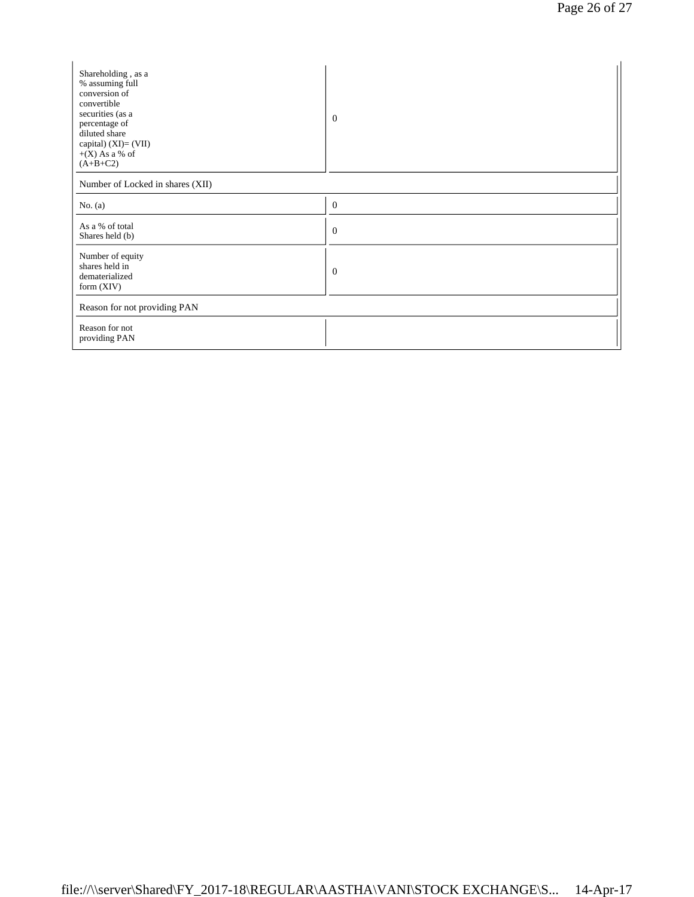| Shareholding, as a<br>% assuming full<br>conversion of<br>convertible<br>securities (as a<br>percentage of<br>diluted share<br>capital) (XI)= (VII)<br>$+(X)$ As a % of<br>$(A+B+C2)$ | $\theta$       |  |
|---------------------------------------------------------------------------------------------------------------------------------------------------------------------------------------|----------------|--|
| Number of Locked in shares (XII)                                                                                                                                                      |                |  |
| No. $(a)$                                                                                                                                                                             | $\theta$       |  |
| As a % of total<br>Shares held (b)                                                                                                                                                    | $\theta$       |  |
| Number of equity<br>shares held in<br>dematerialized<br>form $(XIV)$                                                                                                                  | $\overline{0}$ |  |
| Reason for not providing PAN                                                                                                                                                          |                |  |
| Reason for not<br>providing PAN                                                                                                                                                       |                |  |